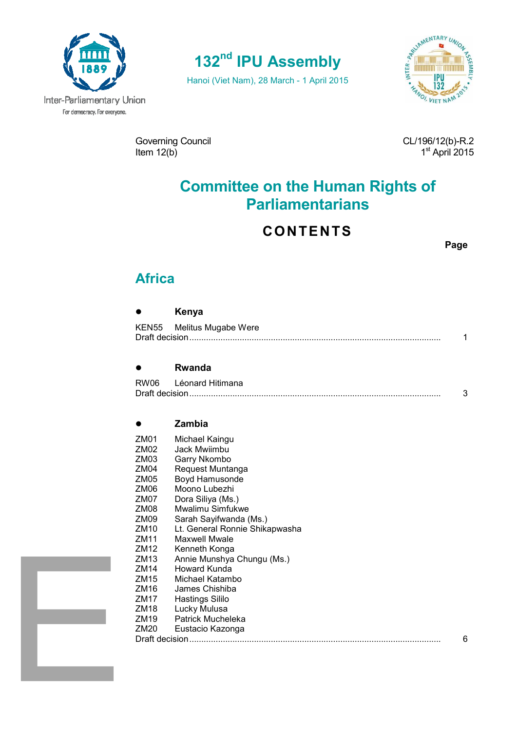

# **132nd IPU Assembly**

Hanoi (Viet Nam), 28 March - 1 April 2015



Governing Council and CL/196/12(b)-R.2 Item  $12(b)$ 

st April 2015

# **Committee on the Human Rights of Parliamentarians**

## **CONTENTS**

**Page** 

## **Africa**

# **Kenya**

| KEN55 Melitus Mugabe Were |  |
|---------------------------|--|
|                           |  |

### **Rwanda**

| RW06 | Léonard Hitimana |  |
|------|------------------|--|
|      |                  |  |

### **Zambia**

| ZM01             | Michael Kaingu                 |   |
|------------------|--------------------------------|---|
| ZM <sub>02</sub> | Jack Mwiimbu                   |   |
| ZM03             | Garry Nkombo                   |   |
| ZM04             | Request Muntanga               |   |
| ZM05             | Boyd Hamusonde                 |   |
| ZM <sub>06</sub> | Moono Lubezhi                  |   |
| ZM07             | Dora Siliya (Ms.)              |   |
| ZM08             | Mwalimu Simfukwe               |   |
| ZM09             | Sarah Sayifwanda (Ms.)         |   |
| ZM <sub>10</sub> | Lt. General Ronnie Shikapwasha |   |
| ZM11             | Maxwell Mwale                  |   |
| ZM12             | Kenneth Konga                  |   |
| ZM <sub>13</sub> | Annie Munshya Chungu (Ms.)     |   |
| ZM14             | Howard Kunda                   |   |
| ZM <sub>15</sub> | Michael Katambo                |   |
| ZM16             | James Chishiba                 |   |
| ZM <sub>17</sub> | <b>Hastings Sililo</b>         |   |
| ZM <sub>18</sub> | Lucky Mulusa                   |   |
| ZM <sub>19</sub> | Patrick Mucheleka              |   |
| ZM20             | Eustacio Kazonga               |   |
| Draft decision.  |                                | 6 |
|                  |                                |   |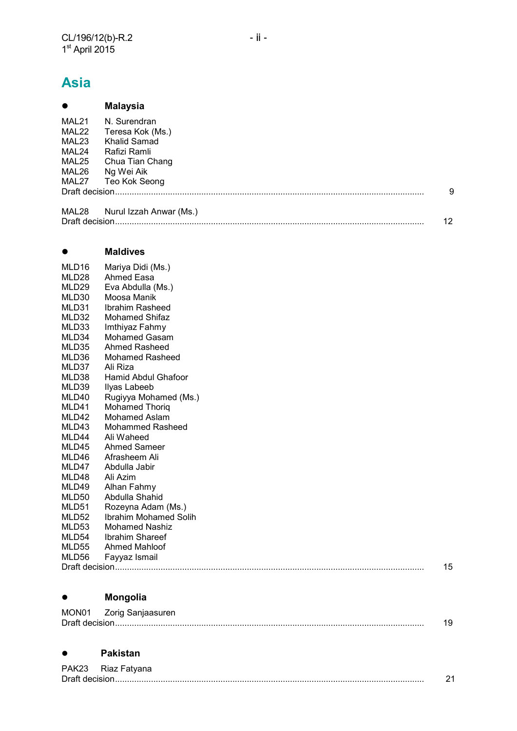# **Asia**

| $\bullet$ | <b>Malaysia</b>         |    |
|-----------|-------------------------|----|
| MAL21     | N. Surendran            |    |
| MAL22     | Teresa Kok (Ms.)        |    |
| MAL23     | Khalid Samad            |    |
| MAL24     | Rafizi Ramli            |    |
| MAL25     | Chua Tian Chang         |    |
| MAL26     | Ng Wei Aik              |    |
| MAL27     | Teo Kok Seong           |    |
|           |                         | 9  |
| MAL28     | Nurul Izzah Anwar (Ms.) |    |
|           |                         | 12 |

#### **Maldives**

| MLD <sub>16</sub> | Mariya Didi (Ms.)       |    |
|-------------------|-------------------------|----|
| MLD <sub>28</sub> | Ahmed Easa              |    |
| MLD29             | Eva Abdulla (Ms.)       |    |
| MLD30             | Moosa Manik             |    |
| MLD31             | Ibrahim Rasheed         |    |
| MLD32             | <b>Mohamed Shifaz</b>   |    |
| MLD33             | Imthiyaz Fahmy          |    |
| MLD34             | Mohamed Gasam           |    |
| MLD35             | <b>Ahmed Rasheed</b>    |    |
| MLD36             | <b>Mohamed Rasheed</b>  |    |
| MLD37             | Ali Riza                |    |
| MLD38             | Hamid Abdul Ghafoor     |    |
| MLD39             | Ilyas Labeeb            |    |
| MLD40             | Rugiyya Mohamed (Ms.)   |    |
| MLD41             | <b>Mohamed Thorig</b>   |    |
| MLD42             | Mohamed Aslam           |    |
| MLD43             | <b>Mohammed Rasheed</b> |    |
| MLD44             | Ali Waheed              |    |
| MLD45             | <b>Ahmed Sameer</b>     |    |
| MLD46             | Afrasheem Ali           |    |
| MLD47             | Abdulla Jabir           |    |
| MLD48             | Ali Azim                |    |
| MLD49             | Alhan Fahmy             |    |
| MLD50             | Abdulla Shahid          |    |
| MLD51             | Rozeyna Adam (Ms.)      |    |
| MLD52             | Ibrahim Mohamed Solih   |    |
| MLD53             | <b>Mohamed Nashiz</b>   |    |
| MLD54             | <b>Ibrahim Shareef</b>  |    |
| MLD <sub>55</sub> | <b>Ahmed Mahloof</b>    |    |
| MLD56             | Fayyaz Ismail           |    |
|                   |                         | 15 |
|                   |                         |    |

## **Mongolia**

| MON01 | Zorig Sanjaasuren |  |
|-------|-------------------|--|
|       |                   |  |

### **Pakistan**

| PAK23 Riaz Fatyana |  |
|--------------------|--|
|                    |  |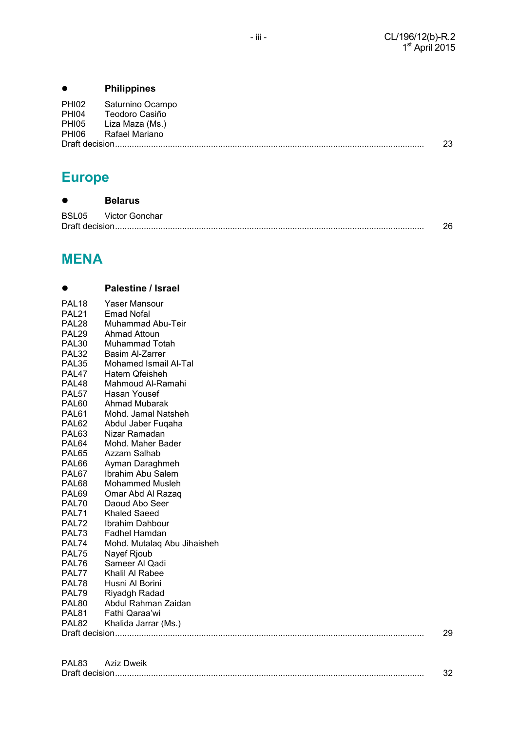## **Philippines**

| PHI02<br>PHI04<br>PHI05 | Saturnino Ocampo<br>Teodoro Casiño<br>Liza Maza (Ms.) |    |
|-------------------------|-------------------------------------------------------|----|
| PHI06                   | Rafael Mariano                                        |    |
|                         |                                                       | 23 |

# **Europe**

| $\bullet$ | <b>Belarus</b>       |    |
|-----------|----------------------|----|
|           | BSL05 Victor Gonchar |    |
|           |                      | 26 |

# **MENA**

|                   | <b>Palestine / Israel</b>   |  |  |
|-------------------|-----------------------------|--|--|
| PAL <sub>18</sub> | Yaser Mansour               |  |  |
| PAL <sub>21</sub> | Emad Nofal                  |  |  |
| PAL <sub>28</sub> | Muhammad Abu-Teir           |  |  |
| PAL <sub>29</sub> | Ahmad Attoun                |  |  |
| PAL <sub>30</sub> | Muhammad Totah              |  |  |
| PAL <sub>32</sub> | Basim Al-Zarrer             |  |  |
| PAL <sub>35</sub> | Mohamed Ismail Al-Tal       |  |  |
| PAL <sub>47</sub> | Hatem Qfeisheh              |  |  |
| PAL <sub>48</sub> | Mahmoud Al-Ramahi           |  |  |
| PAL <sub>57</sub> | Hasan Yousef                |  |  |
| PAL <sub>60</sub> | Ahmad Mubarak               |  |  |
| PAL <sub>61</sub> | Mohd. Jamal Natsheh         |  |  |
| PAL <sub>62</sub> | Abdul Jaber Fuqaha          |  |  |
| PAL63             | Nizar Ramadan               |  |  |
| PAL <sub>64</sub> | Mohd. Maher Bader           |  |  |
| PAL <sub>65</sub> | Azzam Salhab                |  |  |
| PAL66             | Ayman Daraghmeh             |  |  |
| PAL67             | Ibrahim Abu Salem           |  |  |
| PAL68             | <b>Mohammed Musleh</b>      |  |  |
| PAL69             | Omar Abd Al Razaq           |  |  |
| PAL70             | Daoud Abo Seer              |  |  |
| PAL71             | Khaled Saeed                |  |  |
| PAL72             | Ibrahim Dahbour             |  |  |
| PAL73             | Fadhel Hamdan               |  |  |
| PAL74             | Mohd. Mutalaq Abu Jihaisheh |  |  |
| PAL75             | Nayef Rjoub                 |  |  |
| PAL76             | Sameer Al Qadi              |  |  |
| PAL77             | Khalil Al Rabee             |  |  |
| PAL78             | Husni Al Borini             |  |  |
| PAL79             | Riyadgh Radad               |  |  |
| PAL <sub>80</sub> | Abdul Rahman Zaidan         |  |  |
| PAL <sub>81</sub> | Fathi Qaraa'wi              |  |  |
| PAL <sub>82</sub> | Khalida Jarrar (Ms.)        |  |  |
|                   | 29                          |  |  |
|                   |                             |  |  |

| PAL83 | <b>Aziz Dweik</b> |  |
|-------|-------------------|--|
|       |                   |  |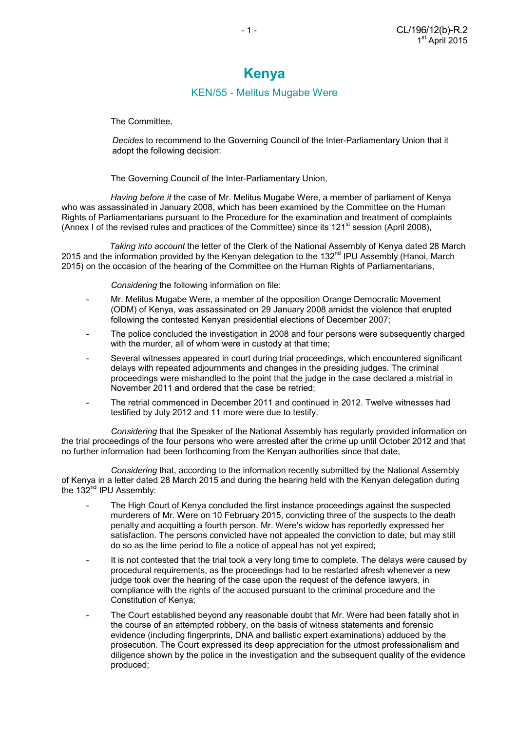## **Kenya**

### KEN/55 - Melitus Mugabe Were

The Committee,

 *Decides* to recommend to the Governing Council of the Inter-Parliamentary Union that it adopt the following decision:

The Governing Council of the Inter-Parliamentary Union,

 *Having before it* the case of Mr. Melitus Mugabe Were, a member of parliament of Kenya who was assassinated in January 2008, which has been examined by the Committee on the Human Rights of Parliamentarians pursuant to the Procedure for the examination and treatment of complaints (Annex I of the revised rules and practices of the Committee) since its  $121<sup>st</sup>$  session (April 2008),

 *Taking into account* the letter of the Clerk of the National Assembly of Kenya dated 28 March 2015 and the information provided by the Kenyan delegation to the 132 $<sup>nd</sup>$  IPU Assembly (Hanoi, March</sup> 2015) on the occasion of the hearing of the Committee on the Human Rights of Parliamentarians,

*Considering* the following information on file:

- Mr. Melitus Mugabe Were, a member of the opposition Orange Democratic Movement (ODM) of Kenya, was assassinated on 29 January 2008 amidst the violence that erupted following the contested Kenyan presidential elections of December 2007;
- The police concluded the investigation in 2008 and four persons were subsequently charged with the murder, all of whom were in custody at that time;
- Several witnesses appeared in court during trial proceedings, which encountered significant delays with repeated adjournments and changes in the presiding judges. The criminal proceedings were mishandled to the point that the judge in the case declared a mistrial in November 2011 and ordered that the case be retried;
- The retrial commenced in December 2011 and continued in 2012. Twelve witnesses had testified by July 2012 and 11 more were due to testify,

*Considering* that the Speaker of the National Assembly has regularly provided information on the trial proceedings of the four persons who were arrested after the crime up until October 2012 and that no further information had been forthcoming from the Kenyan authorities since that date,

 *Considering* that, according to the information recently submitted by the National Assembly of Kenya in a letter dated 28 March 2015 and during the hearing held with the Kenyan delegation during the  $132<sup>nd</sup>$  IPU Assembly:

- The High Court of Kenya concluded the first instance proceedings against the suspected murderers of Mr. Were on 10 February 2015, convicting three of the suspects to the death penalty and acquitting a fourth person. Mr. Were's widow has reportedly expressed her satisfaction. The persons convicted have not appealed the conviction to date, but may still do so as the time period to file a notice of appeal has not yet expired;
- It is not contested that the trial took a very long time to complete. The delays were caused by procedural requirements, as the proceedings had to be restarted afresh whenever a new judge took over the hearing of the case upon the request of the defence lawyers, in compliance with the rights of the accused pursuant to the criminal procedure and the Constitution of Kenya;
- The Court established beyond any reasonable doubt that Mr. Were had been fatally shot in the course of an attempted robbery, on the basis of witness statements and forensic evidence (including fingerprints, DNA and ballistic expert examinations) adduced by the prosecution. The Court expressed its deep appreciation for the utmost professionalism and diligence shown by the police in the investigation and the subsequent quality of the evidence produced;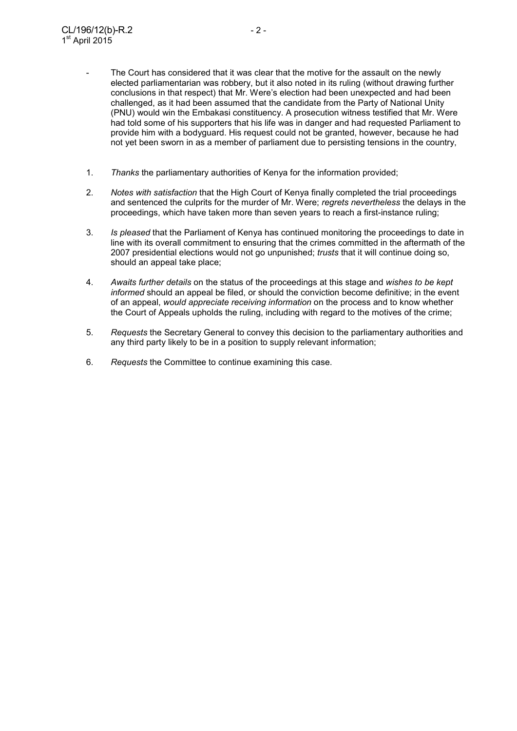- The Court has considered that it was clear that the motive for the assault on the newly elected parliamentarian was robbery, but it also noted in its ruling (without drawing further conclusions in that respect) that Mr. Were's election had been unexpected and had been challenged, as it had been assumed that the candidate from the Party of National Unity (PNU) would win the Embakasi constituency. A prosecution witness testified that Mr. Were had told some of his supporters that his life was in danger and had requested Parliament to provide him with a bodyguard. His request could not be granted, however, because he had not yet been sworn in as a member of parliament due to persisting tensions in the country,
- 1. *Thanks* the parliamentary authorities of Kenya for the information provided;
- 2. *Notes with satisfaction* that the High Court of Kenya finally completed the trial proceedings and sentenced the culprits for the murder of Mr. Were; *regrets nevertheless* the delays in the proceedings, which have taken more than seven years to reach a first-instance ruling;
- 3. *Is pleased* that the Parliament of Kenya has continued monitoring the proceedings to date in line with its overall commitment to ensuring that the crimes committed in the aftermath of the 2007 presidential elections would not go unpunished; *trusts* that it will continue doing so, should an appeal take place;
- 4. *Awaits further details* on the status of the proceedings at this stage and *wishes to be kept informed* should an appeal be filed, or should the conviction become definitive; in the event of an appeal, *would appreciate receiving information* on the process and to know whether the Court of Appeals upholds the ruling, including with regard to the motives of the crime;
- 5. *Requests* the Secretary General to convey this decision to the parliamentary authorities and any third party likely to be in a position to supply relevant information;
- 6. *Requests* the Committee to continue examining this case.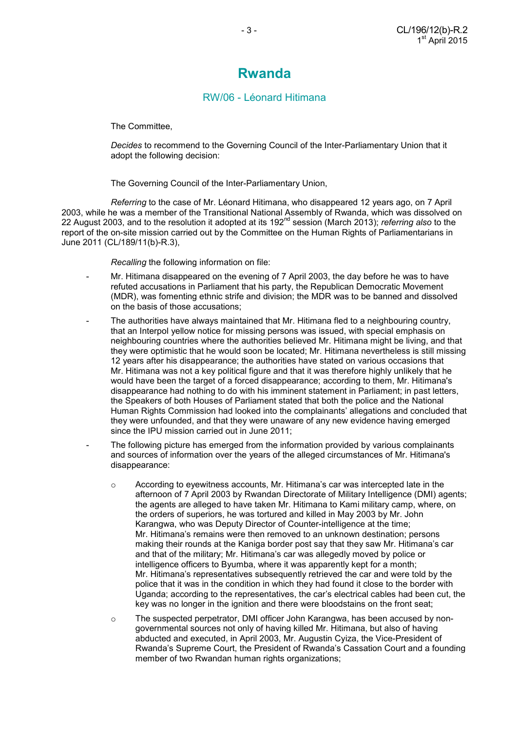## **Rwanda**

### RW/06 - Léonard Hitimana

The Committee,

 *Decides* to recommend to the Governing Council of the Inter-Parliamentary Union that it adopt the following decision:

The Governing Council of the Inter-Parliamentary Union,

*Referring* to the case of Mr. Léonard Hitimana, who disappeared 12 years ago, on 7 April 2003, while he was a member of the Transitional National Assembly of Rwanda, which was dissolved on 22 August 2003, and to the resolution it adopted at its 192nd session (March 2013); *referring also* to the report of the on-site mission carried out by the Committee on the Human Rights of Parliamentarians in June 2011 (CL/189/11(b)-R.3),

 *Recalling* the following information on file:

- Mr. Hitimana disappeared on the evening of 7 April 2003, the day before he was to have refuted accusations in Parliament that his party, the Republican Democratic Movement (MDR), was fomenting ethnic strife and division; the MDR was to be banned and dissolved on the basis of those accusations;
- The authorities have always maintained that Mr. Hitimana fled to a neighbouring country, that an Interpol yellow notice for missing persons was issued, with special emphasis on neighbouring countries where the authorities believed Mr. Hitimana might be living, and that they were optimistic that he would soon be located; Mr. Hitimana nevertheless is still missing 12 years after his disappearance; the authorities have stated on various occasions that Mr. Hitimana was not a key political figure and that it was therefore highly unlikely that he would have been the target of a forced disappearance; according to them, Mr. Hitimana's disappearance had nothing to do with his imminent statement in Parliament; in past letters, the Speakers of both Houses of Parliament stated that both the police and the National Human Rights Commission had looked into the complainants' allegations and concluded that they were unfounded, and that they were unaware of any new evidence having emerged since the IPU mission carried out in June 2011;
- The following picture has emerged from the information provided by various complainants and sources of information over the years of the alleged circumstances of Mr. Hitimana's disappearance:
	- $\circ$  According to eyewitness accounts, Mr. Hitimana's car was intercepted late in the afternoon of 7 April 2003 by Rwandan Directorate of Military Intelligence (DMI) agents; the agents are alleged to have taken Mr. Hitimana to Kami military camp, where, on the orders of superiors, he was tortured and killed in May 2003 by Mr. John Karangwa, who was Deputy Director of Counter-intelligence at the time; Mr. Hitimana's remains were then removed to an unknown destination; persons making their rounds at the Kaniga border post say that they saw Mr. Hitimana's car and that of the military; Mr. Hitimana's car was allegedly moved by police or intelligence officers to Byumba, where it was apparently kept for a month; Mr. Hitimana's representatives subsequently retrieved the car and were told by the police that it was in the condition in which they had found it close to the border with Uganda; according to the representatives, the car's electrical cables had been cut, the key was no longer in the ignition and there were bloodstains on the front seat;
	- o The suspected perpetrator, DMI officer John Karangwa, has been accused by nongovernmental sources not only of having killed Mr. Hitimana, but also of having abducted and executed, in April 2003, Mr. Augustin Cyiza, the Vice-President of Rwanda's Supreme Court, the President of Rwanda's Cassation Court and a founding member of two Rwandan human rights organizations;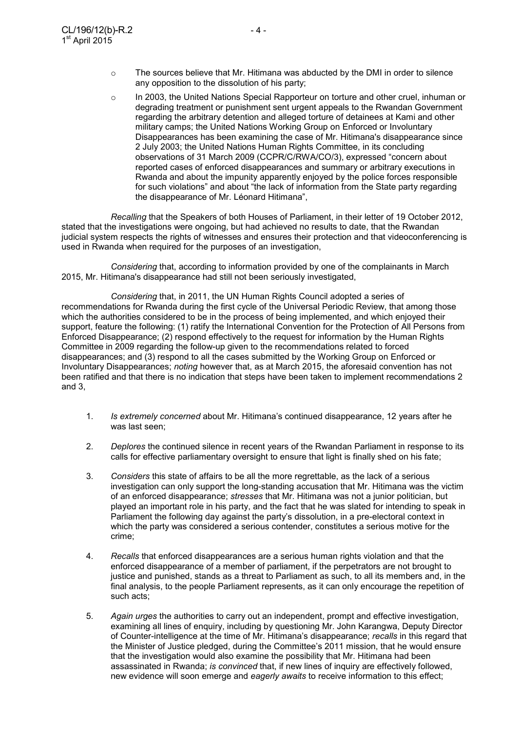- $\circ$  The sources believe that Mr. Hitimana was abducted by the DMI in order to silence any opposition to the dissolution of his party;
- o In 2003, the United Nations Special Rapporteur on torture and other cruel, inhuman or degrading treatment or punishment sent urgent appeals to the Rwandan Government regarding the arbitrary detention and alleged torture of detainees at Kami and other military camps; the United Nations Working Group on Enforced or Involuntary Disappearances has been examining the case of Mr. Hitimana's disappearance since 2 July 2003; the United Nations Human Rights Committee, in its concluding observations of 31 March 2009 (CCPR/C/RWA/CO/3), expressed "concern about reported cases of enforced disappearances and summary or arbitrary executions in Rwanda and about the impunity apparently enjoyed by the police forces responsible for such violations" and about "the lack of information from the State party regarding the disappearance of Mr. Léonard Hitimana",

*Recalling* that the Speakers of both Houses of Parliament, in their letter of 19 October 2012, stated that the investigations were ongoing, but had achieved no results to date, that the Rwandan judicial system respects the rights of witnesses and ensures their protection and that videoconferencing is used in Rwanda when required for the purposes of an investigation,

*Considering* that, according to information provided by one of the complainants in March 2015, Mr. Hitimana's disappearance had still not been seriously investigated,

*Considering* that, in 2011, the UN Human Rights Council adopted a series of recommendations for Rwanda during the first cycle of the Universal Periodic Review, that among those which the authorities considered to be in the process of being implemented, and which enjoyed their support, feature the following: (1) ratify the International Convention for the Protection of All Persons from Enforced Disappearance; (2) respond effectively to the request for information by the Human Rights Committee in 2009 regarding the follow-up given to the recommendations related to forced disappearances; and (3) respond to all the cases submitted by the Working Group on Enforced or Involuntary Disappearances; *noting* however that, as at March 2015, the aforesaid convention has not been ratified and that there is no indication that steps have been taken to implement recommendations 2 and 3,

- 1. *Is extremely concerned* about Mr. Hitimana's continued disappearance, 12 years after he was last seen;
- 2. *Deplores* the continued silence in recent years of the Rwandan Parliament in response to its calls for effective parliamentary oversight to ensure that light is finally shed on his fate;
- 3. *Considers* this state of affairs to be all the more regrettable, as the lack of a serious investigation can only support the long-standing accusation that Mr. Hitimana was the victim of an enforced disappearance; *stresses* that Mr. Hitimana was not a junior politician, but played an important role in his party, and the fact that he was slated for intending to speak in Parliament the following day against the party's dissolution, in a pre-electoral context in which the party was considered a serious contender, constitutes a serious motive for the crime;
- 4. *Recalls* that enforced disappearances are a serious human rights violation and that the enforced disappearance of a member of parliament, if the perpetrators are not brought to justice and punished, stands as a threat to Parliament as such, to all its members and, in the final analysis, to the people Parliament represents, as it can only encourage the repetition of such acts:
- 5. *Again urges* the authorities to carry out an independent, prompt and effective investigation, examining all lines of enquiry, including by questioning Mr. John Karangwa, Deputy Director of Counter-intelligence at the time of Mr. Hitimana's disappearance; *recalls* in this regard that the Minister of Justice pledged, during the Committee's 2011 mission, that he would ensure that the investigation would also examine the possibility that Mr. Hitimana had been assassinated in Rwanda; *is convinced* that, if new lines of inquiry are effectively followed, new evidence will soon emerge and *eagerly awaits* to receive information to this effect;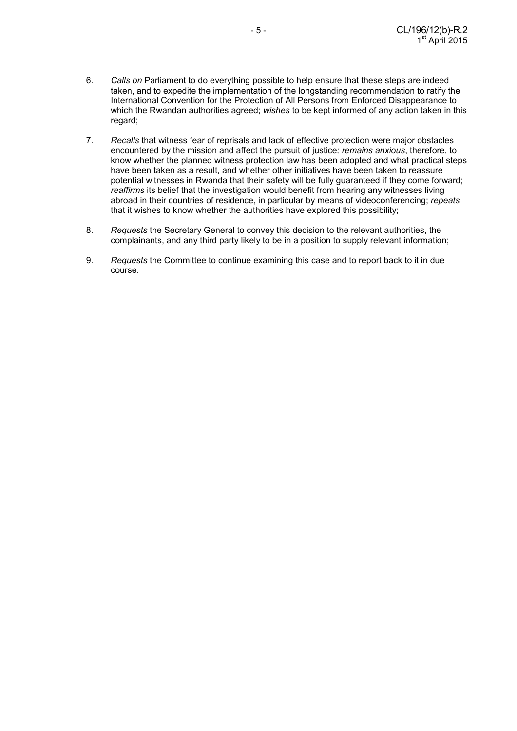- 6. *Calls on* Parliament to do everything possible to help ensure that these steps are indeed taken, and to expedite the implementation of the longstanding recommendation to ratify the International Convention for the Protection of All Persons from Enforced Disappearance to which the Rwandan authorities agreed; *wishes* to be kept informed of any action taken in this regard;
- 7. *Recalls* that witness fear of reprisals and lack of effective protection were major obstacles encountered by the mission and affect the pursuit of justice*; remains anxious*, therefore, to know whether the planned witness protection law has been adopted and what practical steps have been taken as a result, and whether other initiatives have been taken to reassure potential witnesses in Rwanda that their safety will be fully guaranteed if they come forward; *reaffirms* its belief that the investigation would benefit from hearing any witnesses living abroad in their countries of residence, in particular by means of videoconferencing; *repeats*  that it wishes to know whether the authorities have explored this possibility;
- 8. *Requests* the Secretary General to convey this decision to the relevant authorities, the complainants, and any third party likely to be in a position to supply relevant information;
- 9. *Requests* the Committee to continue examining this case and to report back to it in due course.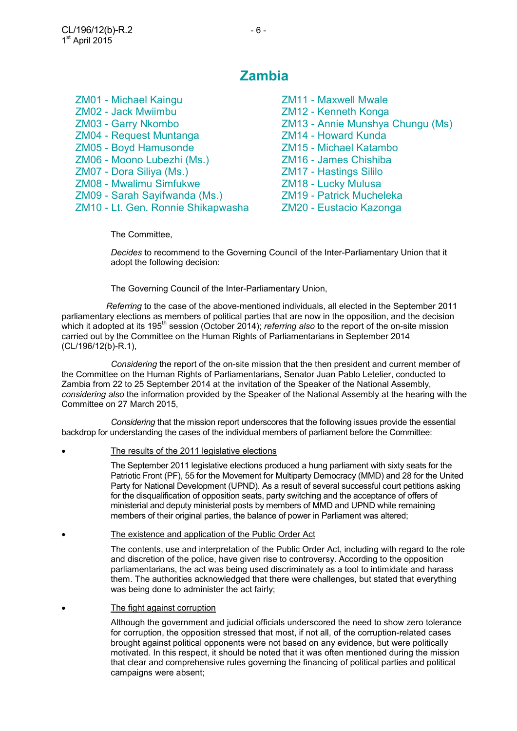## **Zambia**

| <b>ZM01 - Michael Kaingu</b>       | <b>ZM11 - Maxwell Mwale</b>      |
|------------------------------------|----------------------------------|
| <b>ZM02 - Jack Mwiimbu</b>         | ZM12 - Kenneth Konga             |
| <b>ZM03 - Garry Nkombo</b>         | ZM13 - Annie Munshya Chungu (Ms) |
| <b>ZM04 - Request Muntanga</b>     | ZM14 - Howard Kunda              |
| <b>ZM05 - Boyd Hamusonde</b>       | <b>ZM15 - Michael Katambo</b>    |
| ZM06 - Moono Lubezhi (Ms.)         | ZM16 - James Chishiba            |
| ZM07 - Dora Siliya (Ms.)           | <b>ZM17 - Hastings Sililo</b>    |
| <b>ZM08 - Mwalimu Simfukwe</b>     | ZM18 - Lucky Mulusa              |
| ZM09 - Sarah Sayifwanda (Ms.)      | <b>ZM19 - Patrick Mucheleka</b>  |
| ZM10 - Lt. Gen. Ronnie Shikapwasha | ZM20 - Eustacio Kazonga          |
|                                    |                                  |

The Committee,

*Decides* to recommend to the Governing Council of the Inter-Parliamentary Union that it adopt the following decision:

The Governing Council of the Inter-Parliamentary Union,

*Referring* to the case of the above-mentioned individuals, all elected in the September 2011 parliamentary elections as members of political parties that are now in the opposition, and the decision which it adopted at its 195th session (October 2014); *referring also* to the report of the on-site mission carried out by the Committee on the Human Rights of Parliamentarians in September 2014 (CL/196/12(b)-R.1),

*Considering* the report of the on-site mission that the then president and current member of the Committee on the Human Rights of Parliamentarians, Senator Juan Pablo Letelier, conducted to Zambia from 22 to 25 September 2014 at the invitation of the Speaker of the National Assembly, *considering also* the information provided by the Speaker of the National Assembly at the hearing with the Committee on 27 March 2015,

*Considering* that the mission report underscores that the following issues provide the essential backdrop for understanding the cases of the individual members of parliament before the Committee:

The results of the 2011 legislative elections

 The September 2011 legislative elections produced a hung parliament with sixty seats for the Patriotic Front (PF), 55 for the Movement for Multiparty Democracy (MMD) and 28 for the United Party for National Development (UPND). As a result of several successful court petitions asking for the disqualification of opposition seats, party switching and the acceptance of offers of ministerial and deputy ministerial posts by members of MMD and UPND while remaining members of their original parties, the balance of power in Parliament was altered;

• The existence and application of the Public Order Act

 The contents, use and interpretation of the Public Order Act, including with regard to the role and discretion of the police, have given rise to controversy. According to the opposition parliamentarians, the act was being used discriminately as a tool to intimidate and harass them. The authorities acknowledged that there were challenges, but stated that everything was being done to administer the act fairly;

The fight against corruption

 Although the government and judicial officials underscored the need to show zero tolerance for corruption, the opposition stressed that most, if not all, of the corruption-related cases brought against political opponents were not based on any evidence, but were politically motivated. In this respect, it should be noted that it was often mentioned during the mission that clear and comprehensive rules governing the financing of political parties and political campaigns were absent;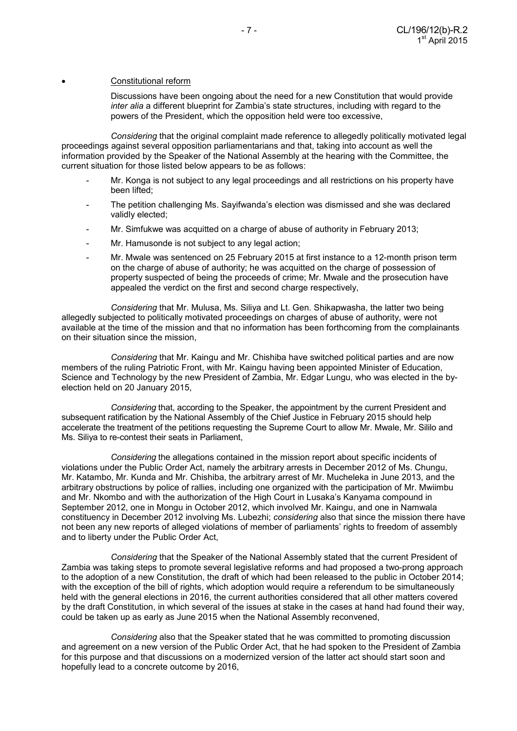#### Constitutional reform

 Discussions have been ongoing about the need for a new Constitution that would provide *inter alia* a different blueprint for Zambia's state structures, including with regard to the powers of the President, which the opposition held were too excessive,

 *Considering* that the original complaint made reference to allegedly politically motivated legal proceedings against several opposition parliamentarians and that, taking into account as well the information provided by the Speaker of the National Assembly at the hearing with the Committee, the current situation for those listed below appears to be as follows:

- Mr. Konga is not subject to any legal proceedings and all restrictions on his property have been lifted;
- The petition challenging Ms. Sayifwanda's election was dismissed and she was declared validly elected;
- Mr. Simfukwe was acquitted on a charge of abuse of authority in February 2013;
- Mr. Hamusonde is not subject to any legal action:
- Mr. Mwale was sentenced on 25 February 2015 at first instance to a 12-month prison term on the charge of abuse of authority; he was acquitted on the charge of possession of property suspected of being the proceeds of crime; Mr. Mwale and the prosecution have appealed the verdict on the first and second charge respectively,

*Considering* that Mr. Mulusa, Ms. Siliya and Lt. Gen. Shikapwasha, the latter two being allegedly subjected to politically motivated proceedings on charges of abuse of authority, were not available at the time of the mission and that no information has been forthcoming from the complainants on their situation since the mission,

*Considering* that Mr. Kaingu and Mr. Chishiba have switched political parties and are now members of the ruling Patriotic Front, with Mr. Kaingu having been appointed Minister of Education, Science and Technology by the new President of Zambia, Mr. Edgar Lungu, who was elected in the byelection held on 20 January 2015,

*Considering* that, according to the Speaker, the appointment by the current President and subsequent ratification by the National Assembly of the Chief Justice in February 2015 should help accelerate the treatment of the petitions requesting the Supreme Court to allow Mr. Mwale, Mr. Sililo and Ms. Siliya to re-contest their seats in Parliament,

*Considering* the allegations contained in the mission report about specific incidents of violations under the Public Order Act, namely the arbitrary arrests in December 2012 of Ms. Chungu, Mr. Katambo, Mr. Kunda and Mr. Chishiba, the arbitrary arrest of Mr. Mucheleka in June 2013, and the arbitrary obstructions by police of rallies, including one organized with the participation of Mr. Mwiimbu and Mr. Nkombo and with the authorization of the High Court in Lusaka's Kanyama compound in September 2012, one in Mongu in October 2012, which involved Mr. Kaingu, and one in Namwala constituency in December 2012 involving Ms. Lubezhi; *considering* also that since the mission there have not been any new reports of alleged violations of member of parliaments' rights to freedom of assembly and to liberty under the Public Order Act,

*Considering* that the Speaker of the National Assembly stated that the current President of Zambia was taking steps to promote several legislative reforms and had proposed a two-prong approach to the adoption of a new Constitution, the draft of which had been released to the public in October 2014; with the exception of the bill of rights, which adoption would require a referendum to be simultaneously held with the general elections in 2016, the current authorities considered that all other matters covered by the draft Constitution, in which several of the issues at stake in the cases at hand had found their way, could be taken up as early as June 2015 when the National Assembly reconvened,

*Considering* also that the Speaker stated that he was committed to promoting discussion and agreement on a new version of the Public Order Act, that he had spoken to the President of Zambia for this purpose and that discussions on a modernized version of the latter act should start soon and hopefully lead to a concrete outcome by 2016,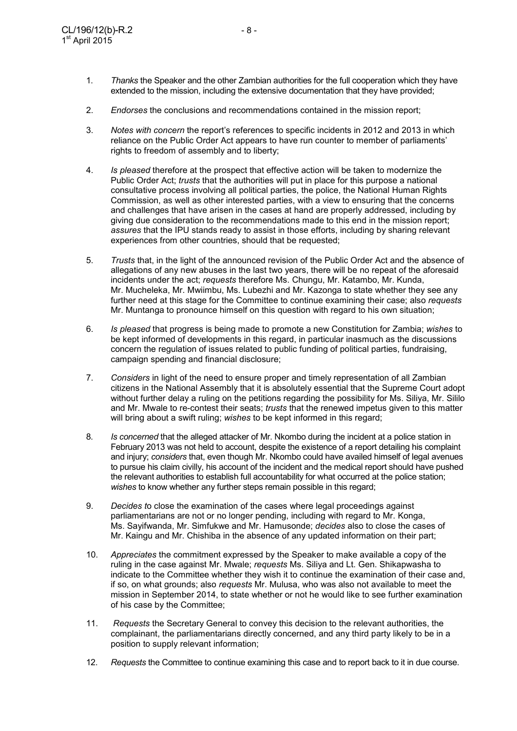- 1. *Thanks* the Speaker and the other Zambian authorities for the full cooperation which they have extended to the mission, including the extensive documentation that they have provided;
- 2. *Endorses* the conclusions and recommendations contained in the mission report;
- 3. *Notes with concern* the report's references to specific incidents in 2012 and 2013 in which reliance on the Public Order Act appears to have run counter to member of parliaments' rights to freedom of assembly and to liberty;
- 4. *Is pleased* therefore at the prospect that effective action will be taken to modernize the Public Order Act; *trusts* that the authorities will put in place for this purpose a national consultative process involving all political parties, the police, the National Human Rights Commission, as well as other interested parties, with a view to ensuring that the concerns and challenges that have arisen in the cases at hand are properly addressed, including by giving due consideration to the recommendations made to this end in the mission report; *assures* that the IPU stands ready to assist in those efforts, including by sharing relevant experiences from other countries, should that be requested;
- 5. *Trusts* that, in the light of the announced revision of the Public Order Act and the absence of allegations of any new abuses in the last two years, there will be no repeat of the aforesaid incidents under the act; *requests* therefore Ms. Chungu, Mr. Katambo, Mr. Kunda, Mr. Mucheleka, Mr. Mwiimbu, Ms. Lubezhi and Mr. Kazonga to state whether they see any further need at this stage for the Committee to continue examining their case; also *requests* Mr. Muntanga to pronounce himself on this question with regard to his own situation;
- 6. *Is pleased* that progress is being made to promote a new Constitution for Zambia; *wishes* to be kept informed of developments in this regard, in particular inasmuch as the discussions concern the regulation of issues related to public funding of political parties, fundraising, campaign spending and financial disclosure;
- 7. *Considers* in light of the need to ensure proper and timely representation of all Zambian citizens in the National Assembly that it is absolutely essential that the Supreme Court adopt without further delay a ruling on the petitions regarding the possibility for Ms. Siliya, Mr. Sililo and Mr. Mwale to re-contest their seats; *trusts* that the renewed impetus given to this matter will bring about a swift ruling; *wishes* to be kept informed in this regard;
- 8. *Is concerned* that the alleged attacker of Mr. Nkombo during the incident at a police station in February 2013 was not held to account, despite the existence of a report detailing his complaint and injury; *considers* that, even though Mr. Nkombo could have availed himself of legal avenues to pursue his claim civilly, his account of the incident and the medical report should have pushed the relevant authorities to establish full accountability for what occurred at the police station; *wishes* to know whether any further steps remain possible in this regard;
- 9. *Decides t*o close the examination of the cases where legal proceedings against parliamentarians are not or no longer pending, including with regard to Mr. Konga, Ms. Sayifwanda, Mr. Simfukwe and Mr. Hamusonde; *decides* also to close the cases of Mr. Kaingu and Mr. Chishiba in the absence of any updated information on their part;
- 10. *Appreciates* the commitment expressed by the Speaker to make available a copy of the ruling in the case against Mr. Mwale; *requests* Ms. Siliya and Lt. Gen. Shikapwasha to indicate to the Committee whether they wish it to continue the examination of their case and, if so, on what grounds; also *requests* Mr. Mulusa, who was also not available to meet the mission in September 2014, to state whether or not he would like to see further examination of his case by the Committee;
- 11. *Requests* the Secretary General to convey this decision to the relevant authorities, the complainant, the parliamentarians directly concerned, and any third party likely to be in a position to supply relevant information;
- 12. *Requests* the Committee to continue examining this case and to report back to it in due course.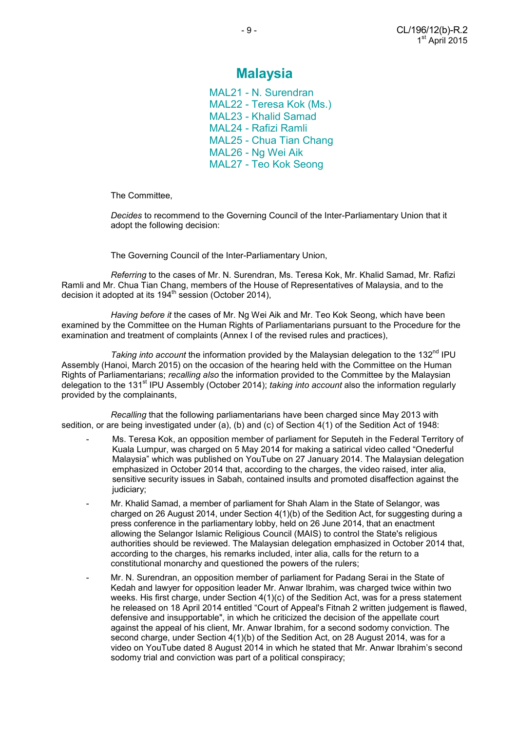## **Malaysia**

MAL21 - N. Surendran MAL22 - Teresa Kok (Ms.) MAL23 - Khalid Samad MAL24 - Rafizi Ramli MAL25 - Chua Tian Chang MAL26 - Ng Wei Aik MAL27 - Teo Kok Seong

The Committee,

 *Decides* to recommend to the Governing Council of the Inter-Parliamentary Union that it adopt the following decision:

The Governing Council of the Inter-Parliamentary Union,

 *Referring* to the cases of Mr. N. Surendran, Ms. Teresa Kok, Mr. Khalid Samad, Mr. Rafizi Ramli and Mr. Chua Tian Chang, members of the House of Representatives of Malaysia, and to the decision it adopted at its  $194<sup>th</sup>$  session (October 2014),

 *Having before it* the cases of Mr. Ng Wei Aik and Mr. Teo Kok Seong, which have been examined by the Committee on the Human Rights of Parliamentarians pursuant to the Procedure for the examination and treatment of complaints (Annex I of the revised rules and practices),

Taking into account the information provided by the Malaysian delegation to the 132<sup>nd</sup> IPU Assembly (Hanoi, March 2015) on the occasion of the hearing held with the Committee on the Human Rights of Parliamentarians; *recalling also* the information provided to the Committee by the Malaysian delegation to the 131<sup>st</sup> IPU Assembly (October 2014); *taking into account* also the information regularly provided by the complainants,

 *Recalling* that the following parliamentarians have been charged since May 2013 with sedition, or are being investigated under (a), (b) and (c) of Section 4(1) of the Sedition Act of 1948:

- Ms. Teresa Kok, an opposition member of parliament for Seputeh in the Federal Territory of Kuala Lumpur, was charged on 5 May 2014 for making a satirical video called "Onederful Malaysia" which was published on YouTube on 27 January 2014. The Malaysian delegation emphasized in October 2014 that, according to the charges, the video raised, inter alia, sensitive security issues in Sabah, contained insults and promoted disaffection against the judiciary;
- Mr. Khalid Samad, a member of parliament for Shah Alam in the State of Selangor, was charged on 26 August 2014, under Section 4(1)(b) of the Sedition Act, for suggesting during a press conference in the parliamentary lobby, held on 26 June 2014, that an enactment allowing the Selangor Islamic Religious Council (MAIS) to control the State's religious authorities should be reviewed. The Malaysian delegation emphasized in October 2014 that, according to the charges, his remarks included, inter alia, calls for the return to a constitutional monarchy and questioned the powers of the rulers;
- Mr. N. Surendran, an opposition member of parliament for Padang Serai in the State of Kedah and lawyer for opposition leader Mr. Anwar Ibrahim, was charged twice within two weeks. His first charge, under Section 4(1)(c) of the Sedition Act, was for a press statement he released on 18 April 2014 entitled "Court of Appeal's Fitnah 2 written judgement is flawed, defensive and insupportable", in which he criticized the decision of the appellate court against the appeal of his client, Mr. Anwar Ibrahim, for a second sodomy conviction. The second charge, under Section 4(1)(b) of the Sedition Act, on 28 August 2014, was for a video on YouTube dated 8 August 2014 in which he stated that Mr. Anwar Ibrahim's second sodomy trial and conviction was part of a political conspiracy;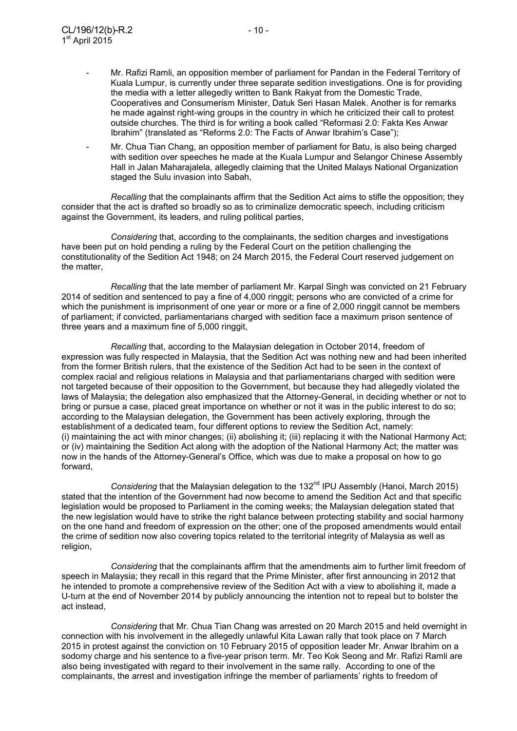- Mr. Rafizi Ramli, an opposition member of parliament for Pandan in the Federal Territory of Kuala Lumpur, is currently under three separate sedition investigations. One is for providing the media with a letter allegedly written to Bank Rakyat from the Domestic Trade, Cooperatives and Consumerism Minister, Datuk Seri Hasan Malek. Another is for remarks he made against right-wing groups in the country in which he criticized their call to protest outside churches. The third is for writing a book called "Reformasi 2.0: Fakta Kes Anwar Ibrahim" (translated as "Reforms 2.0: The Facts of Anwar Ibrahim's Case");
- Mr. Chua Tian Chang, an opposition member of parliament for Batu, is also being charged with sedition over speeches he made at the Kuala Lumpur and Selangor Chinese Assembly Hall in Jalan Maharajalela, allegedly claiming that the United Malays National Organization staged the Sulu invasion into Sabah,

 *Recalling* that the complainants affirm that the Sedition Act aims to stifle the opposition; they consider that the act is drafted so broadly so as to criminalize democratic speech, including criticism against the Government, its leaders, and ruling political parties,

*Considering* that, according to the complainants, the sedition charges and investigations have been put on hold pending a ruling by the Federal Court on the petition challenging the constitutionality of the Sedition Act 1948; on 24 March 2015, the Federal Court reserved judgement on the matter,

*Recalling* that the late member of parliament Mr. Karpal Singh was convicted on 21 February 2014 of sedition and sentenced to pay a fine of 4,000 ringgit; persons who are convicted of a crime for which the punishment is imprisonment of one year or more or a fine of 2,000 ringgit cannot be members of parliament; if convicted, parliamentarians charged with sedition face a maximum prison sentence of three years and a maximum fine of 5,000 ringgit,

*Recalling* that, according to the Malaysian delegation in October 2014, freedom of expression was fully respected in Malaysia, that the Sedition Act was nothing new and had been inherited from the former British rulers, that the existence of the Sedition Act had to be seen in the context of complex racial and religious relations in Malaysia and that parliamentarians charged with sedition were not targeted because of their opposition to the Government, but because they had allegedly violated the laws of Malaysia; the delegation also emphasized that the Attorney-General, in deciding whether or not to bring or pursue a case, placed great importance on whether or not it was in the public interest to do so; according to the Malaysian delegation, the Government has been actively exploring, through the establishment of a dedicated team, four different options to review the Sedition Act, namely: (i) maintaining the act with minor changes; (ii) abolishing it; (iii) replacing it with the National Harmony Act; or (iv) maintaining the Sedition Act along with the adoption of the National Harmony Act; the matter was now in the hands of the Attorney-General's Office, which was due to make a proposal on how to go forward,

*Considering* that the Malaysian delegation to the 132<sup>nd</sup> IPU Assembly (Hanoi, March 2015) stated that the intention of the Government had now become to amend the Sedition Act and that specific legislation would be proposed to Parliament in the coming weeks; the Malaysian delegation stated that the new legislation would have to strike the right balance between protecting stability and social harmony on the one hand and freedom of expression on the other; one of the proposed amendments would entail the crime of sedition now also covering topics related to the territorial integrity of Malaysia as well as religion,

 *Considering* that the complainants affirm that the amendments aim to further limit freedom of speech in Malaysia; they recall in this regard that the Prime Minister, after first announcing in 2012 that he intended to promote a comprehensive review of the Sedition Act with a view to abolishing it, made a U-turn at the end of November 2014 by publicly announcing the intention not to repeal but to bolster the act instead,

 *Considering* that Mr. Chua Tian Chang was arrested on 20 March 2015 and held overnight in connection with his involvement in the allegedly unlawful Kita Lawan rally that took place on 7 March 2015 in protest against the conviction on 10 February 2015 of opposition leader Mr. Anwar Ibrahim on a sodomy charge and his sentence to a five-year prison term. Mr. Teo Kok Seong and Mr. Rafizi Ramli are also being investigated with regard to their involvement in the same rally. According to one of the complainants, the arrest and investigation infringe the member of parliaments' rights to freedom of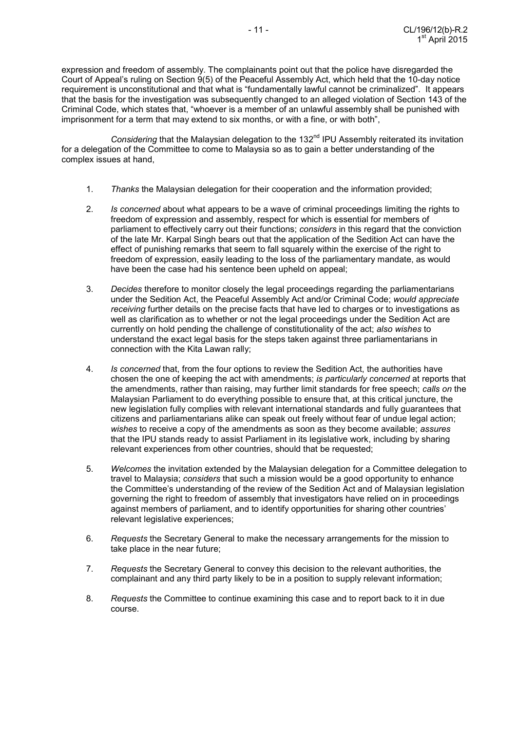expression and freedom of assembly. The complainants point out that the police have disregarded the Court of Appeal's ruling on Section 9(5) of the Peaceful Assembly Act, which held that the 10-day notice requirement is unconstitutional and that what is "fundamentally lawful cannot be criminalized". It appears that the basis for the investigation was subsequently changed to an alleged violation of Section 143 of the Criminal Code, which states that, "whoever is a member of an unlawful assembly shall be punished with imprisonment for a term that may extend to six months, or with a fine, or with both",

Considering that the Malaysian delegation to the 132<sup>nd</sup> IPU Assembly reiterated its invitation for a delegation of the Committee to come to Malaysia so as to gain a better understanding of the complex issues at hand,

- 1. *Thanks* the Malaysian delegation for their cooperation and the information provided;
- 2. *Is concerned* about what appears to be a wave of criminal proceedings limiting the rights to freedom of expression and assembly, respect for which is essential for members of parliament to effectively carry out their functions; *considers* in this regard that the conviction of the late Mr. Karpal Singh bears out that the application of the Sedition Act can have the effect of punishing remarks that seem to fall squarely within the exercise of the right to freedom of expression, easily leading to the loss of the parliamentary mandate, as would have been the case had his sentence been upheld on appeal;
- 3. *Decides* therefore to monitor closely the legal proceedings regarding the parliamentarians under the Sedition Act, the Peaceful Assembly Act and/or Criminal Code; *would appreciate receiving* further details on the precise facts that have led to charges or to investigations as well as clarification as to whether or not the legal proceedings under the Sedition Act are currently on hold pending the challenge of constitutionality of the act; *also wishes* to understand the exact legal basis for the steps taken against three parliamentarians in connection with the Kita Lawan rally;
- 4. *Is concerned* that, from the four options to review the Sedition Act, the authorities have chosen the one of keeping the act with amendments; *is particularly concerned* at reports that the amendments, rather than raising, may further limit standards for free speech; *calls on* the Malaysian Parliament to do everything possible to ensure that, at this critical juncture, the new legislation fully complies with relevant international standards and fully guarantees that citizens and parliamentarians alike can speak out freely without fear of undue legal action; *wishes* to receive a copy of the amendments as soon as they become available; *assures* that the IPU stands ready to assist Parliament in its legislative work, including by sharing relevant experiences from other countries, should that be requested;
- 5. *Welcomes* the invitation extended by the Malaysian delegation for a Committee delegation to travel to Malaysia; *considers* that such a mission would be a good opportunity to enhance the Committee's understanding of the review of the Sedition Act and of Malaysian legislation governing the right to freedom of assembly that investigators have relied on in proceedings against members of parliament, and to identify opportunities for sharing other countries' relevant legislative experiences:
- 6. *Requests* the Secretary General to make the necessary arrangements for the mission to take place in the near future;
- 7. *Requests* the Secretary General to convey this decision to the relevant authorities, the complainant and any third party likely to be in a position to supply relevant information;
- 8. *Requests* the Committee to continue examining this case and to report back to it in due course.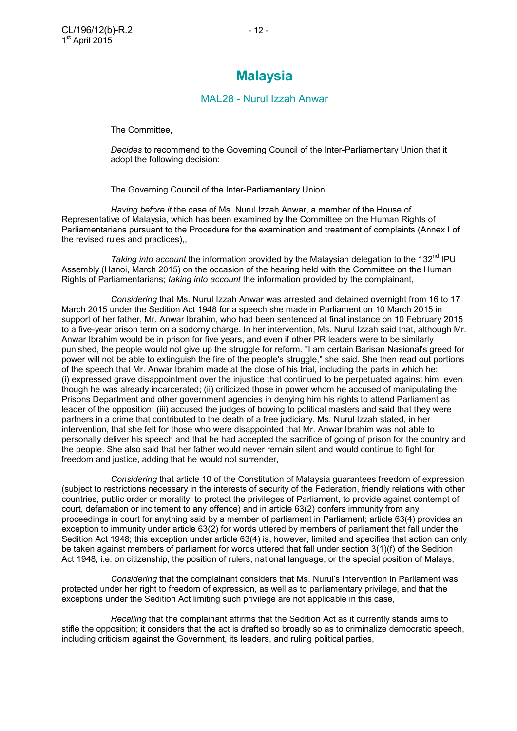## **Malaysia**

#### MAL28 - Nurul Izzah Anwar

The Committee,

 *Decides* to recommend to the Governing Council of the Inter-Parliamentary Union that it adopt the following decision:

The Governing Council of the Inter-Parliamentary Union,

 *Having before it* the case of Ms. Nurul Izzah Anwar, a member of the House of Representative of Malaysia, which has been examined by the Committee on the Human Rights of Parliamentarians pursuant to the Procedure for the examination and treatment of complaints (Annex I of the revised rules and practices),,

Taking into account the information provided by the Malaysian delegation to the 132<sup>nd</sup> IPU Assembly (Hanoi, March 2015) on the occasion of the hearing held with the Committee on the Human Rights of Parliamentarians; *taking into account* the information provided by the complainant,

 *Considering* that Ms. Nurul Izzah Anwar was arrested and detained overnight from 16 to 17 March 2015 under the Sedition Act 1948 for a speech she made in Parliament on 10 March 2015 in support of her father, Mr. Anwar Ibrahim, who had been sentenced at final instance on 10 February 2015 to a five-year prison term on a sodomy charge. In her intervention, Ms. Nurul Izzah said that, although Mr. Anwar Ibrahim would be in prison for five years, and even if other PR leaders were to be similarly punished, the people would not give up the struggle for reform. "I am certain Barisan Nasional's greed for power will not be able to extinguish the fire of the people's struggle," she said. She then read out portions of the speech that Mr. Anwar Ibrahim made at the close of his trial, including the parts in which he: (i) expressed grave disappointment over the injustice that continued to be perpetuated against him, even though he was already incarcerated; (ii) criticized those in power whom he accused of manipulating the Prisons Department and other government agencies in denying him his rights to attend Parliament as leader of the opposition; (iii) accused the judges of bowing to political masters and said that they were partners in a crime that contributed to the death of a free judiciary. Ms. Nurul Izzah stated, in her intervention, that she felt for those who were disappointed that Mr. Anwar Ibrahim was not able to personally deliver his speech and that he had accepted the sacrifice of going of prison for the country and the people. She also said that her father would never remain silent and would continue to fight for freedom and justice, adding that he would not surrender,

 *Considering* that article 10 of the Constitution of Malaysia guarantees freedom of expression (subject to restrictions necessary in the interests of security of the Federation, friendly relations with other countries, public order or morality, to protect the privileges of Parliament, to provide against contempt of court, defamation or incitement to any offence) and in article 63(2) confers immunity from any proceedings in court for anything said by a member of parliament in Parliament; article 63(4) provides an exception to immunity under article 63(2) for words uttered by members of parliament that fall under the Sedition Act 1948; this exception under article 63(4) is, however, limited and specifies that action can only be taken against members of parliament for words uttered that fall under section 3(1)(f) of the Sedition Act 1948, i.e. on citizenship, the position of rulers, national language, or the special position of Malays,

*Considering* that the complainant considers that Ms. Nurul's intervention in Parliament was protected under her right to freedom of expression, as well as to parliamentary privilege, and that the exceptions under the Sedition Act limiting such privilege are not applicable in this case,

 *Recalling* that the complainant affirms that the Sedition Act as it currently stands aims to stifle the opposition; it considers that the act is drafted so broadly so as to criminalize democratic speech, including criticism against the Government, its leaders, and ruling political parties,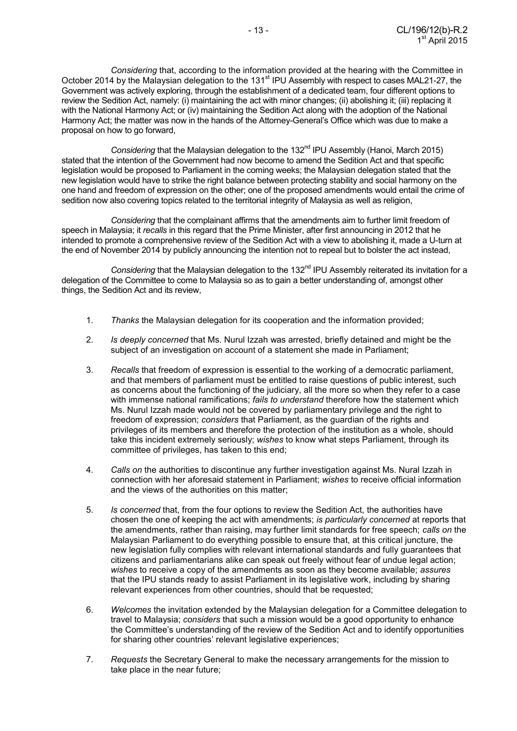*Considering* that, according to the information provided at the hearing with the Committee in October 2014 by the Malaysian delegation to the 131<sup>st</sup> IPU Assembly with respect to cases MAL21-27, the Government was actively exploring, through the establishment of a dedicated team, four different options to review the Sedition Act, namely: (i) maintaining the act with minor changes; (ii) abolishing it; (iii) replacing it with the National Harmony Act; or (iv) maintaining the Sedition Act along with the adoption of the National Harmony Act; the matter was now in the hands of the Attorney-General's Office which was due to make a proposal on how to go forward,

*Considering* that the Malaysian delegation to the 132<sup>nd</sup> IPU Assembly (Hanoi, March 2015) stated that the intention of the Government had now become to amend the Sedition Act and that specific legislation would be proposed to Parliament in the coming weeks; the Malaysian delegation stated that the new legislation would have to strike the right balance between protecting stability and social harmony on the one hand and freedom of expression on the other; one of the proposed amendments would entail the crime of sedition now also covering topics related to the territorial integrity of Malaysia as well as religion,

*Considering* that the complainant affirms that the amendments aim to further limit freedom of speech in Malaysia; it *recalls* in this regard that the Prime Minister, after first announcing in 2012 that he intended to promote a comprehensive review of the Sedition Act with a view to abolishing it, made a U-turn at the end of November 2014 by publicly announcing the intention not to repeal but to bolster the act instead,

Considering that the Malaysian delegation to the 132<sup>nd</sup> IPU Assembly reiterated its invitation for a delegation of the Committee to come to Malaysia so as to gain a better understanding of, amongst other things, the Sedition Act and its review,

- 1. *Thanks* the Malaysian delegation for its cooperation and the information provided;
- 2. *Is deeply concerned* that Ms. Nurul Izzah was arrested, briefly detained and might be the subject of an investigation on account of a statement she made in Parliament;
- 3. *Recalls* that freedom of expression is essential to the working of a democratic parliament, and that members of parliament must be entitled to raise questions of public interest, such as concerns about the functioning of the judiciary, all the more so when they refer to a case with immense national ramifications; *fails to understand* therefore how the statement which Ms. Nurul Izzah made would not be covered by parliamentary privilege and the right to freedom of expression; *considers* that Parliament, as the guardian of the rights and privileges of its members and therefore the protection of the institution as a whole, should take this incident extremely seriously; *wishes* to know what steps Parliament, through its committee of privileges, has taken to this end;
- 4. *Calls on* the authorities to discontinue any further investigation against Ms. Nural Izzah in connection with her aforesaid statement in Parliament; *wishes* to receive official information and the views of the authorities on this matter;
- 5. *Is concerned* that, from the four options to review the Sedition Act, the authorities have chosen the one of keeping the act with amendments; *is particularly concerned* at reports that the amendments, rather than raising, may further limit standards for free speech; *calls on* the Malaysian Parliament to do everything possible to ensure that, at this critical juncture, the new legislation fully complies with relevant international standards and fully guarantees that citizens and parliamentarians alike can speak out freely without fear of undue legal action; *wishes* to receive a copy of the amendments as soon as they become available; *assures* that the IPU stands ready to assist Parliament in its legislative work, including by sharing relevant experiences from other countries, should that be requested;
- 6. *Welcomes* the invitation extended by the Malaysian delegation for a Committee delegation to travel to Malaysia; *considers* that such a mission would be a good opportunity to enhance the Committee's understanding of the review of the Sedition Act and to identify opportunities for sharing other countries' relevant legislative experiences;
- 7. *Requests* the Secretary General to make the necessary arrangements for the mission to take place in the near future;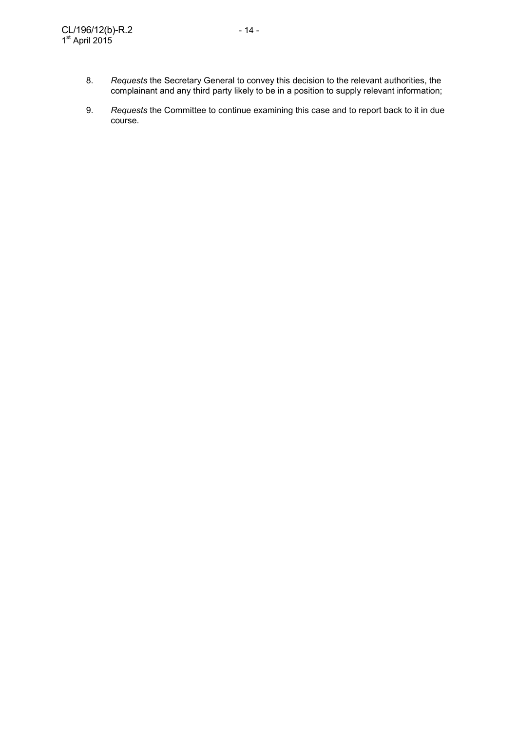- 8. *Requests* the Secretary General to convey this decision to the relevant authorities, the complainant and any third party likely to be in a position to supply relevant information;
	- 9. *Requests* the Committee to continue examining this case and to report back to it in due course.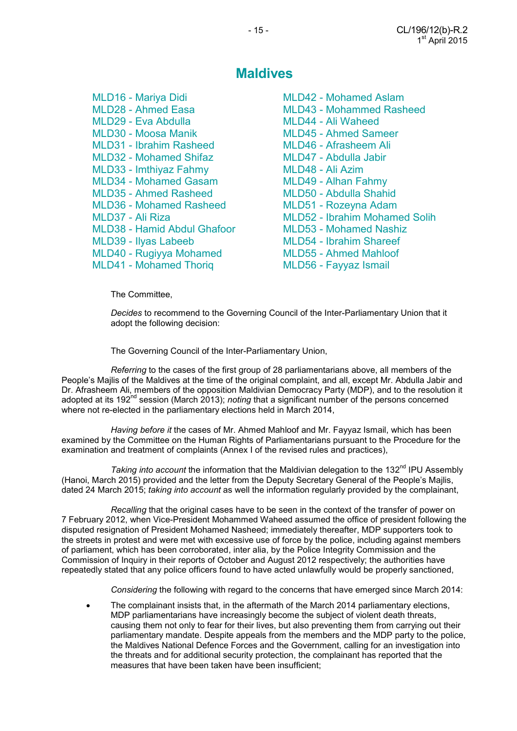## **Maldives**

- MLD16 Mariya Didi MLD42 Mohamed Aslam MLD28 - Ahmed Easa MLD43 - Mohammed Rasheed MLD29 - Eva Abdulla MLD44 - Ali Waheed MLD30 - Moosa Manik MLD45 - Ahmed Sameer MLD31 - Ibrahim Rasheed MLD46 - Afrasheem Ali MLD32 - Mohamed Shifaz MLD47 - Abdulla Jabir MLD33 - Imthiyaz Fahmy MLD48 - Ali Azim MLD34 - Mohamed Gasam MLD49 - Alhan Fahmy MLD35 - Ahmed Rasheed MLD50 - Abdulla Shahid MLD36 - Mohamed Rasheed MLD51 - Rozeyna Adam MLD38 - Hamid Abdul Ghafoor MLD53 - Mohamed Nashiz MLD39 - Ilyas Labeeb MLD54 - Ibrahim Shareef MLD40 - Rugiyya Mohamed MLD55 - Ahmed Mahloof MLD41 - Mohamed Thoriq MLD56 - Fayyaz Ismail
- MLD37 Ali Riza MLD52 Ibrahim Mohamed Solih

The Committee,

*Decides* to recommend to the Governing Council of the Inter-Parliamentary Union that it adopt the following decision:

The Governing Council of the Inter-Parliamentary Union,

*Referring* to the cases of the first group of 28 parliamentarians above, all members of the People's Majlis of the Maldives at the time of the original complaint, and all, except Mr. Abdulla Jabir and Dr. Afrasheem Ali, members of the opposition Maldivian Democracy Party (MDP), and to the resolution it adopted at its 192nd session (March 2013); *noting* that a significant number of the persons concerned where not re-elected in the parliamentary elections held in March 2014,

*Having before it* the cases of Mr. Ahmed Mahloof and Mr. Fayyaz Ismail, which has been examined by the Committee on the Human Rights of Parliamentarians pursuant to the Procedure for the examination and treatment of complaints (Annex I of the revised rules and practices),

*Taking into account* the information that the Maldivian delegation to the 132<sup>nd</sup> IPU Assembly (Hanoi, March 2015) provided and the letter from the Deputy Secretary General of the People's Majlis, dated 24 March 2015; *taking into account* as well the information regularly provided by the complainant,

*Recalling* that the original cases have to be seen in the context of the transfer of power on 7 February 2012, when Vice-President Mohammed Waheed assumed the office of president following the disputed resignation of President Mohamed Nasheed; immediately thereafter, MDP supporters took to the streets in protest and were met with excessive use of force by the police, including against members of parliament, which has been corroborated, inter alia, by the Police Integrity Commission and the Commission of Inquiry in their reports of October and August 2012 respectively; the authorities have repeatedly stated that any police officers found to have acted unlawfully would be properly sanctioned,

*Considering* the following with regard to the concerns that have emerged since March 2014:

The complainant insists that, in the aftermath of the March 2014 parliamentary elections, MDP parliamentarians have increasingly become the subject of violent death threats, causing them not only to fear for their lives, but also preventing them from carrying out their parliamentary mandate. Despite appeals from the members and the MDP party to the police, the Maldives National Defence Forces and the Government, calling for an investigation into the threats and for additional security protection, the complainant has reported that the measures that have been taken have been insufficient;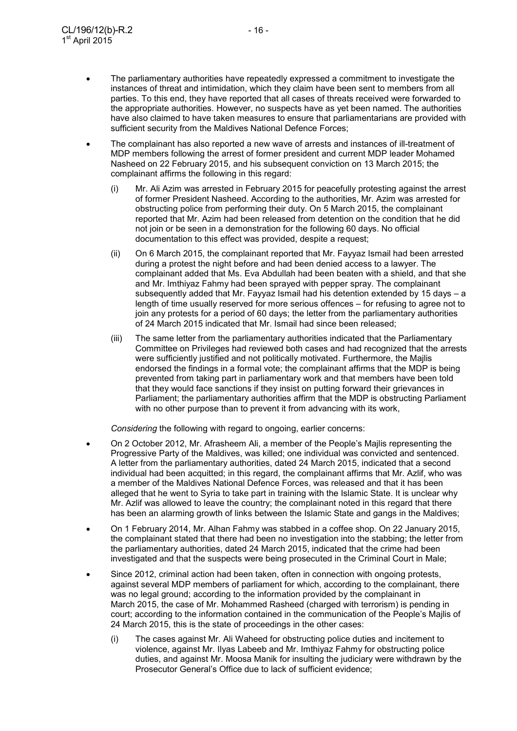- The parliamentary authorities have repeatedly expressed a commitment to investigate the instances of threat and intimidation, which they claim have been sent to members from all parties. To this end, they have reported that all cases of threats received were forwarded to the appropriate authorities. However, no suspects have as yet been named. The authorities have also claimed to have taken measures to ensure that parliamentarians are provided with sufficient security from the Maldives National Defence Forces;
- The complainant has also reported a new wave of arrests and instances of ill-treatment of MDP members following the arrest of former president and current MDP leader Mohamed Nasheed on 22 February 2015, and his subsequent conviction on 13 March 2015; the complainant affirms the following in this regard:
	- (i) Mr. Ali Azim was arrested in February 2015 for peacefully protesting against the arrest of former President Nasheed. According to the authorities, Mr. Azim was arrested for obstructing police from performing their duty. On 5 March 2015, the complainant reported that Mr. Azim had been released from detention on the condition that he did not join or be seen in a demonstration for the following 60 days. No official documentation to this effect was provided, despite a request;
	- (ii) On 6 March 2015, the complainant reported that Mr. Fayyaz Ismail had been arrested during a protest the night before and had been denied access to a lawyer. The complainant added that Ms. Eva Abdullah had been beaten with a shield, and that she and Mr. Imthiyaz Fahmy had been sprayed with pepper spray. The complainant subsequently added that Mr. Fayyaz Ismail had his detention extended by 15 days – a length of time usually reserved for more serious offences – for refusing to agree not to join any protests for a period of 60 days; the letter from the parliamentary authorities of 24 March 2015 indicated that Mr. Ismail had since been released;
	- (iii) The same letter from the parliamentary authorities indicated that the Parliamentary Committee on Privileges had reviewed both cases and had recognized that the arrests were sufficiently justified and not politically motivated. Furthermore, the Majlis endorsed the findings in a formal vote; the complainant affirms that the MDP is being prevented from taking part in parliamentary work and that members have been told that they would face sanctions if they insist on putting forward their grievances in Parliament; the parliamentary authorities affirm that the MDP is obstructing Parliament with no other purpose than to prevent it from advancing with its work,

*Considering* the following with regard to ongoing, earlier concerns:

- On 2 October 2012, Mr. Afrasheem Ali, a member of the People's Majlis representing the Progressive Party of the Maldives, was killed; one individual was convicted and sentenced. A letter from the parliamentary authorities, dated 24 March 2015, indicated that a second individual had been acquitted; in this regard, the complainant affirms that Mr. Azlif, who was a member of the Maldives National Defence Forces, was released and that it has been alleged that he went to Syria to take part in training with the Islamic State. It is unclear why Mr. Azlif was allowed to leave the country; the complainant noted in this regard that there has been an alarming growth of links between the Islamic State and gangs in the Maldives;
- On 1 February 2014, Mr. Alhan Fahmy was stabbed in a coffee shop. On 22 January 2015, the complainant stated that there had been no investigation into the stabbing; the letter from the parliamentary authorities, dated 24 March 2015, indicated that the crime had been investigated and that the suspects were being prosecuted in the Criminal Court in Male;
- Since 2012, criminal action had been taken, often in connection with ongoing protests, against several MDP members of parliament for which, according to the complainant, there was no legal ground; according to the information provided by the complainant in March 2015, the case of Mr. Mohammed Rasheed (charged with terrorism) is pending in court; according to the information contained in the communication of the People's Majlis of 24 March 2015, this is the state of proceedings in the other cases:
	- (i) The cases against Mr. Ali Waheed for obstructing police duties and incitement to violence, against Mr. Ilyas Labeeb and Mr. Imthiyaz Fahmy for obstructing police duties, and against Mr. Moosa Manik for insulting the judiciary were withdrawn by the Prosecutor General's Office due to lack of sufficient evidence;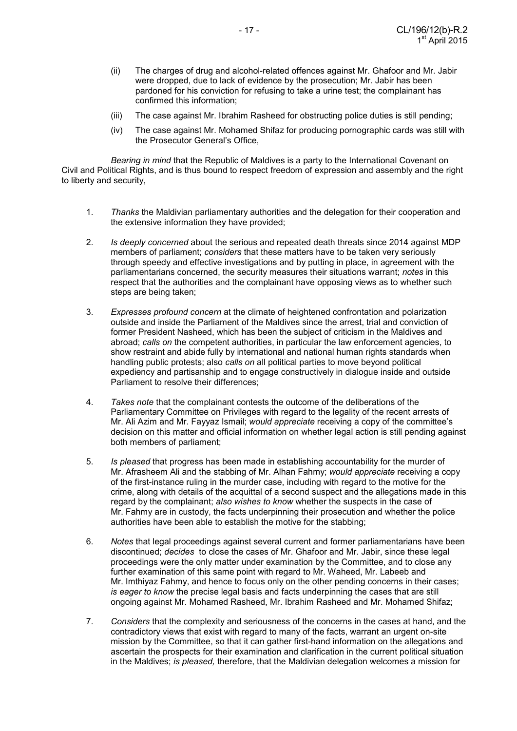- (ii) The charges of drug and alcohol-related offences against Mr. Ghafoor and Mr. Jabir were dropped, due to lack of evidence by the prosecution; Mr. Jabir has been pardoned for his conviction for refusing to take a urine test; the complainant has confirmed this information;
- (iii) The case against Mr. Ibrahim Rasheed for obstructing police duties is still pending;
- (iv) The case against Mr. Mohamed Shifaz for producing pornographic cards was still with the Prosecutor General's Office,

*Bearing in mind* that the Republic of Maldives is a party to the International Covenant on Civil and Political Rights, and is thus bound to respect freedom of expression and assembly and the right to liberty and security,

- 1. *Thanks* the Maldivian parliamentary authorities and the delegation for their cooperation and the extensive information they have provided;
- 2. *Is deeply concerned* about the serious and repeated death threats since 2014 against MDP members of parliament; *considers* that these matters have to be taken very seriously through speedy and effective investigations and by putting in place, in agreement with the parliamentarians concerned, the security measures their situations warrant; *notes* in this respect that the authorities and the complainant have opposing views as to whether such steps are being taken;
- 3. *Expresses profound concern* at the climate of heightened confrontation and polarization outside and inside the Parliament of the Maldives since the arrest, trial and conviction of former President Nasheed, which has been the subject of criticism in the Maldives and abroad; *calls on* the competent authorities, in particular the law enforcement agencies, to show restraint and abide fully by international and national human rights standards when handling public protests; also *calls on* all political parties to move beyond political expediency and partisanship and to engage constructively in dialogue inside and outside Parliament to resolve their differences;
- 4. *Takes note* that the complainant contests the outcome of the deliberations of the Parliamentary Committee on Privileges with regard to the legality of the recent arrests of Mr. Ali Azim and Mr. Fayyaz Ismail; *would appreciate* receiving a copy of the committee's decision on this matter and official information on whether legal action is still pending against both members of parliament;
- 5. *Is pleased* that progress has been made in establishing accountability for the murder of Mr. Afrasheem Ali and the stabbing of Mr. Alhan Fahmy; *would appreciate* receiving a copy of the first-instance ruling in the murder case, including with regard to the motive for the crime, along with details of the acquittal of a second suspect and the allegations made in this regard by the complainant; *also wishes to know* whether the suspects in the case of Mr. Fahmy are in custody, the facts underpinning their prosecution and whether the police authorities have been able to establish the motive for the stabbing;
- 6. *Notes* that legal proceedings against several current and former parliamentarians have been discontinued; *decides* to close the cases of Mr. Ghafoor and Mr. Jabir, since these legal proceedings were the only matter under examination by the Committee, and to close any further examination of this same point with regard to Mr. Waheed, Mr. Labeeb and Mr. Imthiyaz Fahmy, and hence to focus only on the other pending concerns in their cases; *is eager to know* the precise legal basis and facts underpinning the cases that are still ongoing against Mr. Mohamed Rasheed, Mr. Ibrahim Rasheed and Mr. Mohamed Shifaz;
- 7. *Considers* that the complexity and seriousness of the concerns in the cases at hand, and the contradictory views that exist with regard to many of the facts, warrant an urgent on-site mission by the Committee, so that it can gather first-hand information on the allegations and ascertain the prospects for their examination and clarification in the current political situation in the Maldives; *is pleased,* therefore, that the Maldivian delegation welcomes a mission for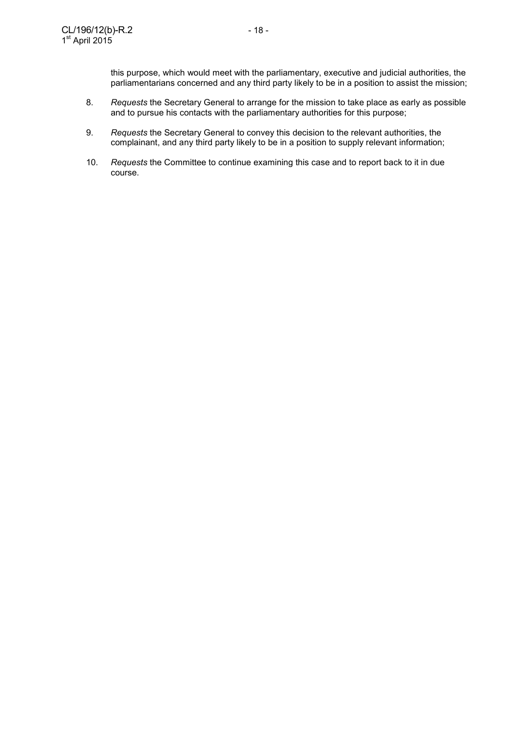this purpose, which would meet with the parliamentary, executive and judicial authorities, the parliamentarians concerned and any third party likely to be in a position to assist the mission;

- 8. *Requests* the Secretary General to arrange for the mission to take place as early as possible and to pursue his contacts with the parliamentary authorities for this purpose;
- 9. *Requests* the Secretary General to convey this decision to the relevant authorities, the complainant, and any third party likely to be in a position to supply relevant information;
- 10. *Requests* the Committee to continue examining this case and to report back to it in due course.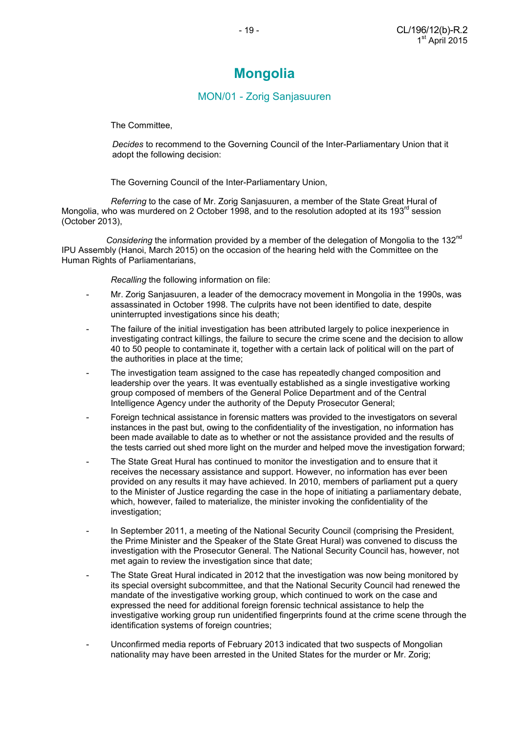# **Mongolia**

### MON/01 - Zorig Sanjasuuren

The Committee,

 *Decides* to recommend to the Governing Council of the Inter-Parliamentary Union that it adopt the following decision:

The Governing Council of the Inter-Parliamentary Union,

*Referring* to the case of Mr. Zorig Sanjasuuren, a member of the State Great Hural of Mongolia, who was murdered on 2 October 1998, and to the resolution adopted at its 193 $^{\text{rd}}$  session (October 2013),

*Considering* the information provided by a member of the delegation of Mongolia to the 132nd IPU Assembly (Hanoi, March 2015) on the occasion of the hearing held with the Committee on the Human Rights of Parliamentarians,

*Recalling* the following information on file:

- Mr. Zorig Sanjasuuren, a leader of the democracy movement in Mongolia in the 1990s, was assassinated in October 1998. The culprits have not been identified to date, despite uninterrupted investigations since his death;
- The failure of the initial investigation has been attributed largely to police inexperience in investigating contract killings, the failure to secure the crime scene and the decision to allow 40 to 50 people to contaminate it, together with a certain lack of political will on the part of the authorities in place at the time;
- The investigation team assigned to the case has repeatedly changed composition and leadership over the years. It was eventually established as a single investigative working group composed of members of the General Police Department and of the Central Intelligence Agency under the authority of the Deputy Prosecutor General;
- Foreign technical assistance in forensic matters was provided to the investigators on several instances in the past but, owing to the confidentiality of the investigation, no information has been made available to date as to whether or not the assistance provided and the results of the tests carried out shed more light on the murder and helped move the investigation forward;
- The State Great Hural has continued to monitor the investigation and to ensure that it receives the necessary assistance and support. However, no information has ever been provided on any results it may have achieved. In 2010, members of parliament put a query to the Minister of Justice regarding the case in the hope of initiating a parliamentary debate, which, however, failed to materialize, the minister invoking the confidentiality of the investigation:
- In September 2011, a meeting of the National Security Council (comprising the President, the Prime Minister and the Speaker of the State Great Hural) was convened to discuss the investigation with the Prosecutor General. The National Security Council has, however, not met again to review the investigation since that date;
- The State Great Hural indicated in 2012 that the investigation was now being monitored by its special oversight subcommittee, and that the National Security Council had renewed the mandate of the investigative working group, which continued to work on the case and expressed the need for additional foreign forensic technical assistance to help the investigative working group run unidentified fingerprints found at the crime scene through the identification systems of foreign countries;
- Unconfirmed media reports of February 2013 indicated that two suspects of Mongolian nationality may have been arrested in the United States for the murder or Mr. Zorig;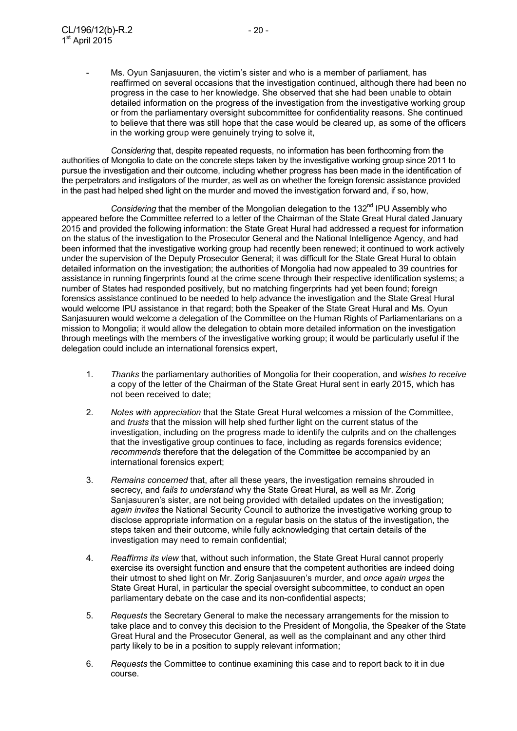Ms. Oyun Sanjasuuren, the victim's sister and who is a member of parliament, has reaffirmed on several occasions that the investigation continued, although there had been no progress in the case to her knowledge. She observed that she had been unable to obtain detailed information on the progress of the investigation from the investigative working group or from the parliamentary oversight subcommittee for confidentiality reasons. She continued to believe that there was still hope that the case would be cleared up, as some of the officers in the working group were genuinely trying to solve it,

*Considering* that, despite repeated requests, no information has been forthcoming from the authorities of Mongolia to date on the concrete steps taken by the investigative working group since 2011 to pursue the investigation and their outcome, including whether progress has been made in the identification of the perpetrators and instigators of the murder, as well as on whether the foreign forensic assistance provided in the past had helped shed light on the murder and moved the investigation forward and, if so, how,

*Considering* that the member of the Mongolian delegation to the 132<sup>nd</sup> IPU Assembly who appeared before the Committee referred to a letter of the Chairman of the State Great Hural dated January 2015 and provided the following information: the State Great Hural had addressed a request for information on the status of the investigation to the Prosecutor General and the National Intelligence Agency, and had been informed that the investigative working group had recently been renewed; it continued to work actively under the supervision of the Deputy Prosecutor General; it was difficult for the State Great Hural to obtain detailed information on the investigation; the authorities of Mongolia had now appealed to 39 countries for assistance in running fingerprints found at the crime scene through their respective identification systems; a number of States had responded positively, but no matching fingerprints had yet been found; foreign forensics assistance continued to be needed to help advance the investigation and the State Great Hural would welcome IPU assistance in that regard; both the Speaker of the State Great Hural and Ms. Oyun Sanjasuuren would welcome a delegation of the Committee on the Human Rights of Parliamentarians on a mission to Mongolia; it would allow the delegation to obtain more detailed information on the investigation through meetings with the members of the investigative working group; it would be particularly useful if the delegation could include an international forensics expert,

- 1. *Thanks* the parliamentary authorities of Mongolia for their cooperation, and *wishes to receive* a copy of the letter of the Chairman of the State Great Hural sent in early 2015, which has not been received to date;
- 2. *Notes with appreciation* that the State Great Hural welcomes a mission of the Committee, and *trusts* that the mission will help shed further light on the current status of the investigation, including on the progress made to identify the culprits and on the challenges that the investigative group continues to face, including as regards forensics evidence; *recommends* therefore that the delegation of the Committee be accompanied by an international forensics expert;
- 3. *Remains concerned* that, after all these years, the investigation remains shrouded in secrecy, and *fails to understand* why the State Great Hural, as well as Mr. Zorig Sanjasuuren's sister, are not being provided with detailed updates on the investigation; *again invites* the National Security Council to authorize the investigative working group to disclose appropriate information on a regular basis on the status of the investigation, the steps taken and their outcome, while fully acknowledging that certain details of the investigation may need to remain confidential;
- 4. *Reaffirms its view* that, without such information, the State Great Hural cannot properly exercise its oversight function and ensure that the competent authorities are indeed doing their utmost to shed light on Mr. Zorig Sanjasuuren's murder, and *once again urges* the State Great Hural, in particular the special oversight subcommittee, to conduct an open parliamentary debate on the case and its non-confidential aspects;
- 5. *Requests* the Secretary General to make the necessary arrangements for the mission to take place and to convey this decision to the President of Mongolia, the Speaker of the State Great Hural and the Prosecutor General, as well as the complainant and any other third party likely to be in a position to supply relevant information;
- 6. *Requests* the Committee to continue examining this case and to report back to it in due course.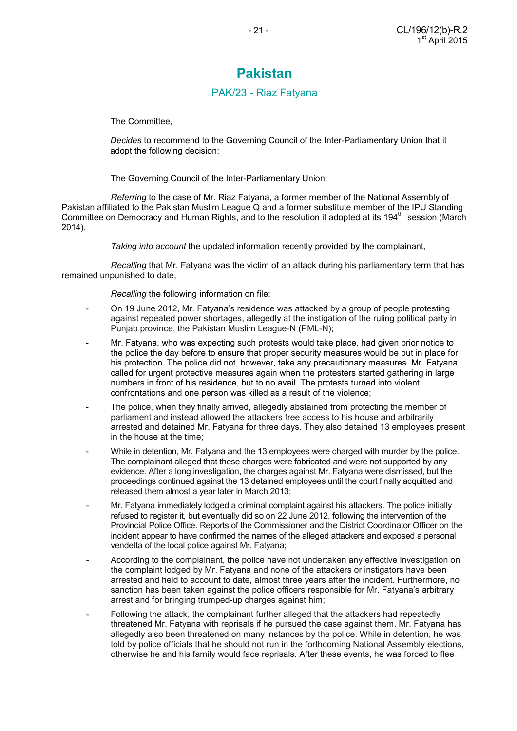## **Pakistan**

#### PAK/23 - Riaz Fatyana

The Committee,

 *Decides* to recommend to the Governing Council of the Inter-Parliamentary Union that it adopt the following decision:

The Governing Council of the Inter-Parliamentary Union,

 *Referring* to the case of Mr. Riaz Fatyana, a former member of the National Assembly of Pakistan affiliated to the Pakistan Muslim League Q and a former substitute member of the IPU Standing Committee on Democracy and Human Rights, and to the resolution it adopted at its 194<sup>th</sup> session (March 2014),

 *Taking into account* the updated information recently provided by the complainant,

 *Recalling* that Mr. Fatyana was the victim of an attack during his parliamentary term that has remained unpunished to date,

 *Recalling* the following information on file:

- On 19 June 2012, Mr. Fatyana's residence was attacked by a group of people protesting against repeated power shortages, allegedly at the instigation of the ruling political party in Punjab province, the Pakistan Muslim League-N (PML-N);
- Mr. Fatyana, who was expecting such protests would take place, had given prior notice to the police the day before to ensure that proper security measures would be put in place for his protection. The police did not, however, take any precautionary measures. Mr. Fatyana called for urgent protective measures again when the protesters started gathering in large numbers in front of his residence, but to no avail. The protests turned into violent confrontations and one person was killed as a result of the violence;
- The police, when they finally arrived, allegedly abstained from protecting the member of parliament and instead allowed the attackers free access to his house and arbitrarily arrested and detained Mr. Fatyana for three days. They also detained 13 employees present in the house at the time;
- While in detention, Mr. Fatyana and the 13 employees were charged with murder by the police. The complainant alleged that these charges were fabricated and were not supported by any evidence. After a long investigation, the charges against Mr. Fatyana were dismissed, but the proceedings continued against the 13 detained employees until the court finally acquitted and released them almost a year later in March 2013;
- Mr. Fatyana immediately lodged a criminal complaint against his attackers. The police initially refused to register it, but eventually did so on 22 June 2012, following the intervention of the Provincial Police Office. Reports of the Commissioner and the District Coordinator Officer on the incident appear to have confirmed the names of the alleged attackers and exposed a personal vendetta of the local police against Mr. Fatyana;
- According to the complainant, the police have not undertaken any effective investigation on the complaint lodged by Mr. Fatyana and none of the attackers or instigators have been arrested and held to account to date, almost three years after the incident. Furthermore, no sanction has been taken against the police officers responsible for Mr. Fatyana's arbitrary arrest and for bringing trumped-up charges against him;
- Following the attack, the complainant further alleged that the attackers had repeatedly threatened Mr. Fatyana with reprisals if he pursued the case against them. Mr. Fatyana has allegedly also been threatened on many instances by the police. While in detention, he was told by police officials that he should not run in the forthcoming National Assembly elections, otherwise he and his family would face reprisals. After these events, he was forced to flee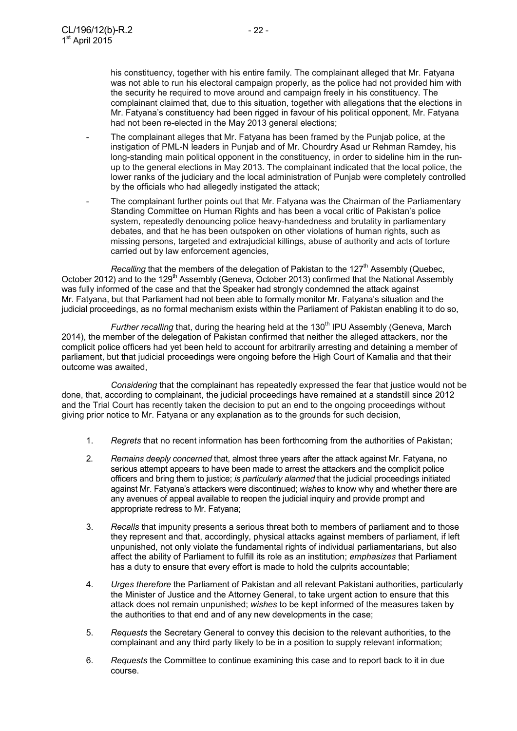his constituency, together with his entire family. The complainant alleged that Mr. Fatyana was not able to run his electoral campaign properly, as the police had not provided him with the security he required to move around and campaign freely in his constituency. The complainant claimed that, due to this situation, together with allegations that the elections in Mr. Fatyana's constituency had been rigged in favour of his political opponent, Mr. Fatyana had not been re-elected in the May 2013 general elections;

- The complainant alleges that Mr. Fatyana has been framed by the Punjab police, at the instigation of PML-N leaders in Punjab and of Mr. Chourdry Asad ur Rehman Ramdey, his long-standing main political opponent in the constituency, in order to sideline him in the runup to the general elections in May 2013. The complainant indicated that the local police, the lower ranks of the judiciary and the local administration of Punjab were completely controlled by the officials who had allegedly instigated the attack;
- The complainant further points out that Mr. Fatyana was the Chairman of the Parliamentary Standing Committee on Human Rights and has been a vocal critic of Pakistan's police system, repeatedly denouncing police heavy-handedness and brutality in parliamentary debates, and that he has been outspoken on other violations of human rights, such as missing persons, targeted and extrajudicial killings, abuse of authority and acts of torture carried out by law enforcement agencies,

*Recalling* that the members of the delegation of Pakistan to the 127<sup>th</sup> Assembly (Quebec, October 2012) and to the 129<sup>th</sup> Assembly (Geneva, October 2013) confirmed that the National Assembly was fully informed of the case and that the Speaker had strongly condemned the attack against Mr. Fatyana, but that Parliament had not been able to formally monitor Mr. Fatyana's situation and the judicial proceedings, as no formal mechanism exists within the Parliament of Pakistan enabling it to do so,

*Further recalling* that, during the hearing held at the 130<sup>th</sup> IPU Assembly (Geneva, March 2014), the member of the delegation of Pakistan confirmed that neither the alleged attackers, nor the complicit police officers had yet been held to account for arbitrarily arresting and detaining a member of parliament, but that judicial proceedings were ongoing before the High Court of Kamalia and that their outcome was awaited,

*Considering* that the complainant has repeatedly expressed the fear that justice would not be done, that, according to complainant, the judicial proceedings have remained at a standstill since 2012 and the Trial Court has recently taken the decision to put an end to the ongoing proceedings without giving prior notice to Mr. Fatyana or any explanation as to the grounds for such decision,

- 1. *Regrets* that no recent information has been forthcoming from the authorities of Pakistan;
- 2. *Remains deeply concerned* that, almost three years after the attack against Mr. Fatyana, no serious attempt appears to have been made to arrest the attackers and the complicit police officers and bring them to justice; *is particularly alarmed* that the judicial proceedings initiated against Mr. Fatyana's attackers were discontinued; *wishes* to know why and whether there are any avenues of appeal available to reopen the judicial inquiry and provide prompt and appropriate redress to Mr. Fatyana;
- 3. *Recalls* that impunity presents a serious threat both to members of parliament and to those they represent and that, accordingly, physical attacks against members of parliament, if left unpunished, not only violate the fundamental rights of individual parliamentarians, but also affect the ability of Parliament to fulfill its role as an institution; *emphasizes* that Parliament has a duty to ensure that every effort is made to hold the culprits accountable;
- 4. *Urges therefore* the Parliament of Pakistan and all relevant Pakistani authorities, particularly the Minister of Justice and the Attorney General, to take urgent action to ensure that this attack does not remain unpunished; *wishes* to be kept informed of the measures taken by the authorities to that end and of any new developments in the case;
- 5. *Requests* the Secretary General to convey this decision to the relevant authorities, to the complainant and any third party likely to be in a position to supply relevant information;
- 6. *Requests* the Committee to continue examining this case and to report back to it in due course.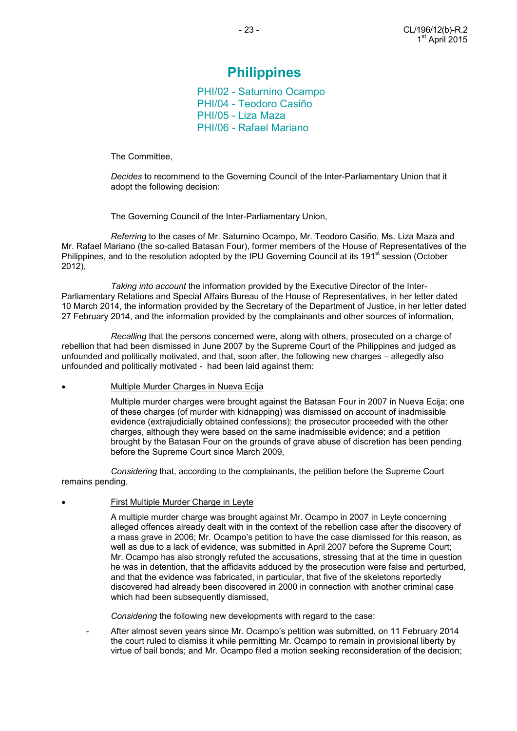## **Philippines**

PHI/02 - Saturnino Ocampo PHI/04 - Teodoro Casiño PHI/05 - Liza Maza PHI/06 - Rafael Mariano

The Committee,

 *Decides* to recommend to the Governing Council of the Inter-Parliamentary Union that it adopt the following decision:

The Governing Council of the Inter-Parliamentary Union,

 *Referring* to the cases of Mr. Saturnino Ocampo, Mr. Teodoro Casiño, Ms. Liza Maza and Mr. Rafael Mariano (the so-called Batasan Four), former members of the House of Representatives of the Philippines, and to the resolution adopted by the IPU Governing Council at its 191<sup>st</sup> session (October 2012),

 *Taking into account* the information provided by the Executive Director of the Inter-Parliamentary Relations and Special Affairs Bureau of the House of Representatives, in her letter dated 10 March 2014, the information provided by the Secretary of the Department of Justice, in her letter dated 27 February 2014, and the information provided by the complainants and other sources of information,

 *Recalling* that the persons concerned were, along with others, prosecuted on a charge of rebellion that had been dismissed in June 2007 by the Supreme Court of the Philippines and judged as unfounded and politically motivated, and that, soon after, the following new charges – allegedly also unfounded and politically motivated - had been laid against them:

#### • Multiple Murder Charges in Nueva Ecija

 Multiple murder charges were brought against the Batasan Four in 2007 in Nueva Ecija; one of these charges (of murder with kidnapping) was dismissed on account of inadmissible evidence (extrajudicially obtained confessions); the prosecutor proceeded with the other charges, although they were based on the same inadmissible evidence; and a petition brought by the Batasan Four on the grounds of grave abuse of discretion has been pending before the Supreme Court since March 2009,

*Considering* that, according to the complainants, the petition before the Supreme Court remains pending,

#### • First Multiple Murder Charge in Leyte

 A multiple murder charge was brought against Mr. Ocampo in 2007 in Leyte concerning alleged offences already dealt with in the context of the rebellion case after the discovery of a mass grave in 2006; Mr. Ocampo's petition to have the case dismissed for this reason, as well as due to a lack of evidence, was submitted in April 2007 before the Supreme Court; Mr. Ocampo has also strongly refuted the accusations, stressing that at the time in question he was in detention, that the affidavits adduced by the prosecution were false and perturbed, and that the evidence was fabricated, in particular, that five of the skeletons reportedly discovered had already been discovered in 2000 in connection with another criminal case which had been subsequently dismissed,

*Considering* the following new developments with regard to the case:

 - After almost seven years since Mr. Ocampo's petition was submitted, on 11 February 2014 the court ruled to dismiss it while permitting Mr. Ocampo to remain in provisional liberty by virtue of bail bonds; and Mr. Ocampo filed a motion seeking reconsideration of the decision;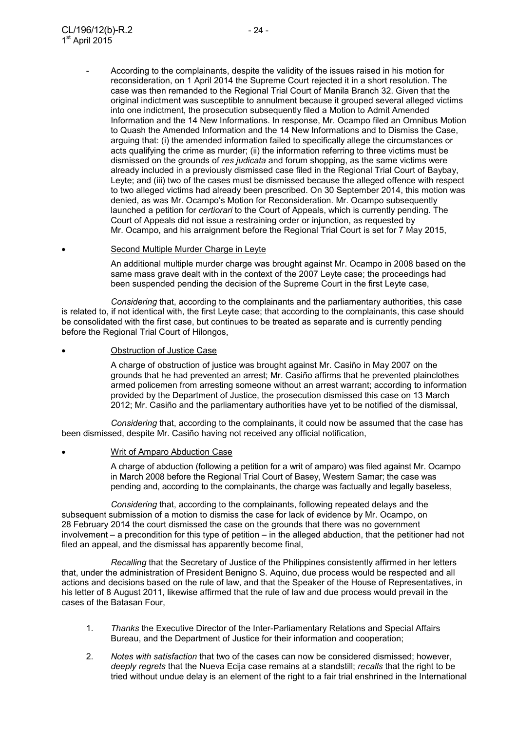- According to the complainants, despite the validity of the issues raised in his motion for reconsideration, on 1 April 2014 the Supreme Court rejected it in a short resolution. The case was then remanded to the Regional Trial Court of Manila Branch 32. Given that the original indictment was susceptible to annulment because it grouped several alleged victims into one indictment, the prosecution subsequently filed a Motion to Admit Amended Information and the 14 New Informations. In response, Mr. Ocampo filed an Omnibus Motion to Quash the Amended Information and the 14 New Informations and to Dismiss the Case, arguing that: (i) the amended information failed to specifically allege the circumstances or acts qualifying the crime as murder; (ii) the information referring to three victims must be dismissed on the grounds of *res judicata* and forum shopping, as the same victims were already included in a previously dismissed case filed in the Regional Trial Court of Baybay, Leyte; and (iii) two of the cases must be dismissed because the alleged offence with respect to two alleged victims had already been prescribed. On 30 September 2014, this motion was denied, as was Mr. Ocampo's Motion for Reconsideration. Mr. Ocampo subsequently launched a petition for *certiorari* to the Court of Appeals, which is currently pending. The Court of Appeals did not issue a restraining order or injunction, as requested by Mr. Ocampo, and his arraignment before the Regional Trial Court is set for 7 May 2015,

#### • Second Multiple Murder Charge in Leyte

 An additional multiple murder charge was brought against Mr. Ocampo in 2008 based on the same mass grave dealt with in the context of the 2007 Leyte case; the proceedings had been suspended pending the decision of the Supreme Court in the first Leyte case,

*Considering* that, according to the complainants and the parliamentary authorities, this case is related to, if not identical with, the first Leyte case; that according to the complainants, this case should be consolidated with the first case, but continues to be treated as separate and is currently pending before the Regional Trial Court of Hilongos,

Obstruction of Justice Case

 A charge of obstruction of justice was brought against Mr. Casiño in May 2007 on the grounds that he had prevented an arrest; Mr. Casiño affirms that he prevented plainclothes armed policemen from arresting someone without an arrest warrant; according to information provided by the Department of Justice, the prosecution dismissed this case on 13 March 2012; Mr. Casiño and the parliamentary authorities have yet to be notified of the dismissal,

*Considering* that, according to the complainants, it could now be assumed that the case has been dismissed, despite Mr. Casiño having not received any official notification,

#### • Writ of Amparo Abduction Case

 A charge of abduction (following a petition for a writ of amparo) was filed against Mr. Ocampo in March 2008 before the Regional Trial Court of Basey, Western Samar; the case was pending and, according to the complainants, the charge was factually and legally baseless,

*Considering* that, according to the complainants, following repeated delays and the subsequent submission of a motion to dismiss the case for lack of evidence by Mr. Ocampo, on 28 February 2014 the court dismissed the case on the grounds that there was no government involvement – a precondition for this type of petition – in the alleged abduction, that the petitioner had not filed an appeal, and the dismissal has apparently become final,

*Recalling* that the Secretary of Justice of the Philippines consistently affirmed in her letters that, under the administration of President Benigno S. Aquino, due process would be respected and all actions and decisions based on the rule of law, and that the Speaker of the House of Representatives, in his letter of 8 August 2011, likewise affirmed that the rule of law and due process would prevail in the cases of the Batasan Four,

- 1. *Thanks* the Executive Director of the Inter-Parliamentary Relations and Special Affairs Bureau, and the Department of Justice for their information and cooperation;
- 2. *Notes with satisfaction* that two of the cases can now be considered dismissed; however, *deeply regrets* that the Nueva Ecija case remains at a standstill; *recalls* that the right to be tried without undue delay is an element of the right to a fair trial enshrined in the International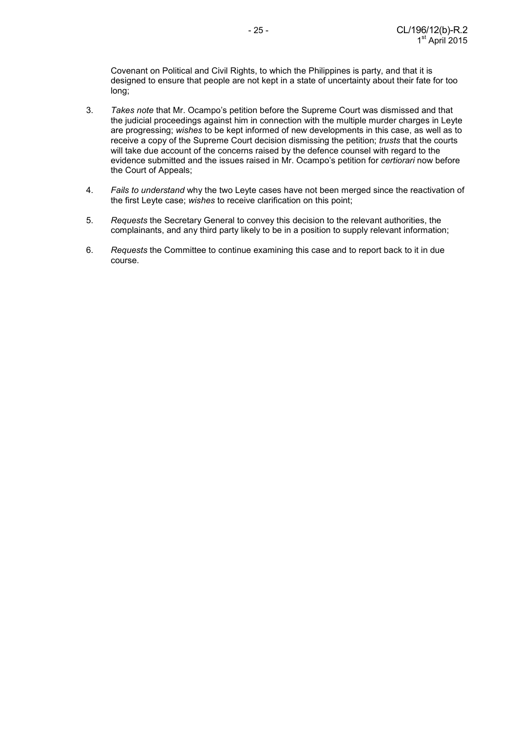Covenant on Political and Civil Rights, to which the Philippines is party, and that it is designed to ensure that people are not kept in a state of uncertainty about their fate for too long;

- 3. *Takes note* that Mr. Ocampo's petition before the Supreme Court was dismissed and that the judicial proceedings against him in connection with the multiple murder charges in Leyte are progressing; *wishes* to be kept informed of new developments in this case, as well as to receive a copy of the Supreme Court decision dismissing the petition; *trusts* that the courts will take due account of the concerns raised by the defence counsel with regard to the evidence submitted and the issues raised in Mr. Ocampo's petition for *certiorari* now before the Court of Appeals;
- 4. *Fails to understand* why the two Leyte cases have not been merged since the reactivation of the first Leyte case; *wishes* to receive clarification on this point;
- 5. *Requests* the Secretary General to convey this decision to the relevant authorities, the complainants, and any third party likely to be in a position to supply relevant information;
- 6. *Requests* the Committee to continue examining this case and to report back to it in due course.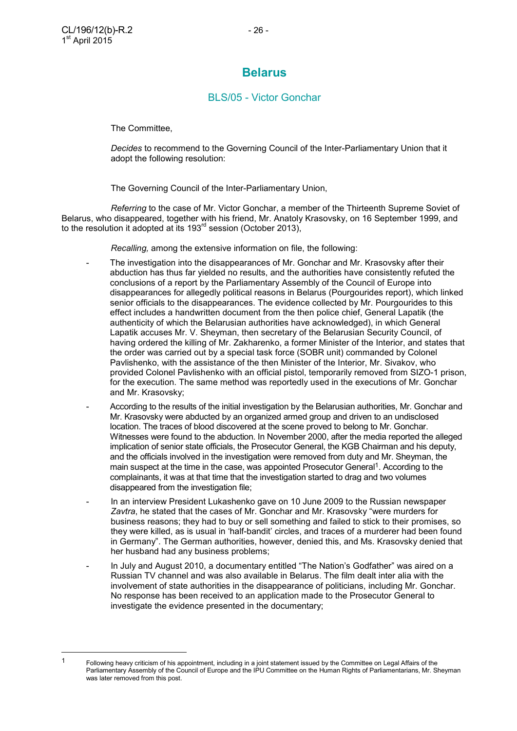$\overline{a}$ 

### **Belarus**

### BLS/05 - Victor Gonchar

The Committee,

 *Decides* to recommend to the Governing Council of the Inter-Parliamentary Union that it adopt the following resolution:

The Governing Council of the Inter-Parliamentary Union,

 *Referring* to the case of Mr. Victor Gonchar, a member of the Thirteenth Supreme Soviet of Belarus, who disappeared, together with his friend, Mr. Anatoly Krasovsky, on 16 September 1999, and to the resolution it adopted at its 193<sup>rd</sup> session (October 2013),

 *Recalling,* among the extensive information on file, the following:

- The investigation into the disappearances of Mr. Gonchar and Mr. Krasovsky after their abduction has thus far yielded no results, and the authorities have consistently refuted the conclusions of a report by the Parliamentary Assembly of the Council of Europe into disappearances for allegedly political reasons in Belarus (Pourgourides report), which linked senior officials to the disappearances. The evidence collected by Mr. Pourgourides to this effect includes a handwritten document from the then police chief, General Lapatik (the authenticity of which the Belarusian authorities have acknowledged), in which General Lapatik accuses Mr. V. Sheyman, then secretary of the Belarusian Security Council, of having ordered the killing of Mr. Zakharenko, a former Minister of the Interior, and states that the order was carried out by a special task force (SOBR unit) commanded by Colonel Pavlishenko, with the assistance of the then Minister of the Interior, Mr. Sivakov, who provided Colonel Pavlishenko with an official pistol, temporarily removed from SIZO-1 prison, for the execution. The same method was reportedly used in the executions of Mr. Gonchar and Mr. Krasovsky;
- According to the results of the initial investigation by the Belarusian authorities, Mr. Gonchar and Mr. Krasovsky were abducted by an organized armed group and driven to an undisclosed location. The traces of blood discovered at the scene proved to belong to Mr. Gonchar. Witnesses were found to the abduction. In November 2000, after the media reported the alleged implication of senior state officials, the Prosecutor General, the KGB Chairman and his deputy, and the officials involved in the investigation were removed from duty and Mr. Sheyman, the main suspect at the time in the case, was appointed Prosecutor General<sup>1</sup>. According to the complainants, it was at that time that the investigation started to drag and two volumes disappeared from the investigation file;
- In an interview President Lukashenko gave on 10 June 2009 to the Russian newspaper *Zavtra*, he stated that the cases of Mr. Gonchar and Mr. Krasovsky "were murders for business reasons; they had to buy or sell something and failed to stick to their promises, so they were killed, as is usual in 'half-bandit' circles, and traces of a murderer had been found in Germany". The German authorities, however, denied this, and Ms. Krasovsky denied that her husband had any business problems;
- In July and August 2010, a documentary entitled "The Nation's Godfather" was aired on a Russian TV channel and was also available in Belarus. The film dealt inter alia with the involvement of state authorities in the disappearance of politicians, including Mr. Gonchar. No response has been received to an application made to the Prosecutor General to investigate the evidence presented in the documentary;

<sup>1</sup> Following heavy criticism of his appointment, including in a joint statement issued by the Committee on Legal Affairs of the Parliamentary Assembly of the Council of Europe and the IPU Committee on the Human Rights of Parliamentarians, Mr. Sheyman was later removed from this post.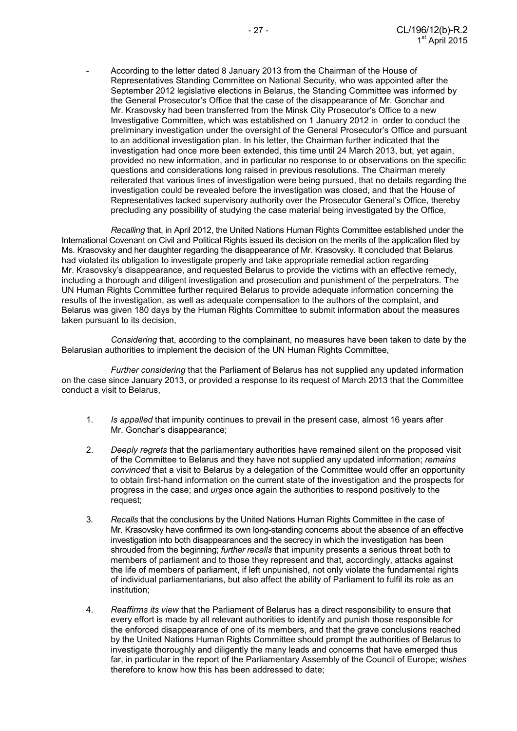- According to the letter dated 8 January 2013 from the Chairman of the House of Representatives Standing Committee on National Security, who was appointed after the September 2012 legislative elections in Belarus, the Standing Committee was informed by the General Prosecutor's Office that the case of the disappearance of Mr. Gonchar and Mr. Krasovsky had been transferred from the Minsk City Prosecutor's Office to a new Investigative Committee, which was established on 1 January 2012 in order to conduct the preliminary investigation under the oversight of the General Prosecutor's Office and pursuant to an additional investigation plan. In his letter, the Chairman further indicated that the investigation had once more been extended, this time until 24 March 2013, but, yet again, provided no new information, and in particular no response to or observations on the specific questions and considerations long raised in previous resolutions. The Chairman merely reiterated that various lines of investigation were being pursued, that no details regarding the investigation could be revealed before the investigation was closed, and that the House of Representatives lacked supervisory authority over the Prosecutor General's Office, thereby precluding any possibility of studying the case material being investigated by the Office,

*Recalling* that, in April 2012, the United Nations Human Rights Committee established under the International Covenant on Civil and Political Rights issued its decision on the merits of the application filed by Ms. Krasovsky and her daughter regarding the disappearance of Mr. Krasovsky. It concluded that Belarus had violated its obligation to investigate properly and take appropriate remedial action regarding Mr. Krasovsky's disappearance, and requested Belarus to provide the victims with an effective remedy, including a thorough and diligent investigation and prosecution and punishment of the perpetrators. The UN Human Rights Committee further required Belarus to provide adequate information concerning the results of the investigation, as well as adequate compensation to the authors of the complaint, and Belarus was given 180 days by the Human Rights Committee to submit information about the measures taken pursuant to its decision,

*Considering* that, according to the complainant, no measures have been taken to date by the Belarusian authorities to implement the decision of the UN Human Rights Committee,

*Further considering* that the Parliament of Belarus has not supplied any updated information on the case since January 2013, or provided a response to its request of March 2013 that the Committee conduct a visit to Belarus,

- 1. *Is appalled* that impunity continues to prevail in the present case, almost 16 years after Mr. Gonchar's disappearance;
- 2. *Deeply regrets* that the parliamentary authorities have remained silent on the proposed visit of the Committee to Belarus and they have not supplied any updated information; *remains convinced* that a visit to Belarus by a delegation of the Committee would offer an opportunity to obtain first-hand information on the current state of the investigation and the prospects for progress in the case; and *urges* once again the authorities to respond positively to the request;
- 3. *Recalls* that the conclusions by the United Nations Human Rights Committee in the case of Mr. Krasovsky have confirmed its own long-standing concerns about the absence of an effective investigation into both disappearances and the secrecy in which the investigation has been shrouded from the beginning; *further recalls* that impunity presents a serious threat both to members of parliament and to those they represent and that, accordingly, attacks against the life of members of parliament, if left unpunished, not only violate the fundamental rights of individual parliamentarians, but also affect the ability of Parliament to fulfil its role as an institution;
- 4. *Reaffirms its view* that the Parliament of Belarus has a direct responsibility to ensure that every effort is made by all relevant authorities to identify and punish those responsible for the enforced disappearance of one of its members, and that the grave conclusions reached by the United Nations Human Rights Committee should prompt the authorities of Belarus to investigate thoroughly and diligently the many leads and concerns that have emerged thus far, in particular in the report of the Parliamentary Assembly of the Council of Europe; *wishes* therefore to know how this has been addressed to date;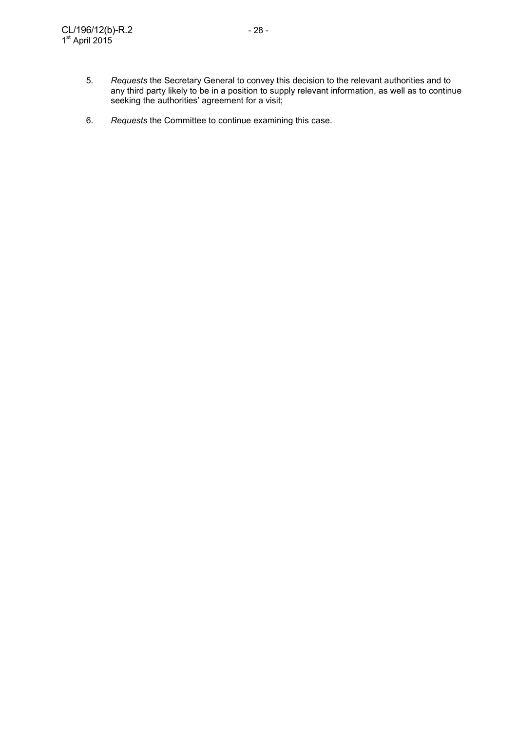- 5. *Requests* the Secretary General to convey this decision to the relevant authorities and to any third party likely to be in a position to supply relevant information, as well as to continue seeking the authorities' agreement for a visit;
	- 6. *Requests* the Committee to continue examining this case.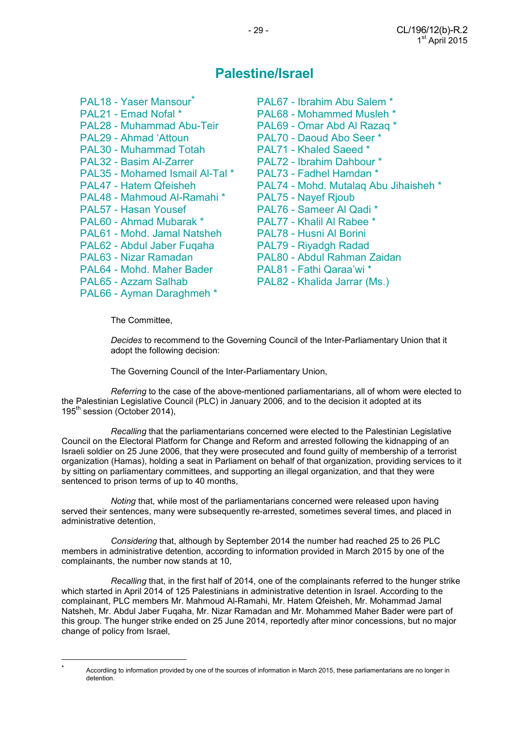## **Palestine/Israel**

| PAL18 - Yaser Mansour <sup>*</sup> | PAL67 - Ibrahim Abu Salem *           |
|------------------------------------|---------------------------------------|
| PAL21 - Emad Nofal *               | PAL68 - Mohammed Musleh *             |
| PAL28 - Muhammad Abu-Teir          | PAL69 - Omar Abd Al Razaq *           |
| PAL29 - Ahmad 'Attoun              | PAL70 - Daoud Abo Seer *              |
| PAL30 - Muhammad Totah             | <b>PAL71 - Khaled Saeed *</b>         |
| PAL32 - Basim Al-Zarrer            | PAL72 - Ibrahim Dahbour *             |
| PAL35 - Mohamed Ismail Al-Tal*     | PAL73 - Fadhel Hamdan *               |
| PAL47 - Hatem Qfeisheh             | PAL74 - Mohd. Mutalaq Abu Jihaisheh * |
| PAL48 - Mahmoud Al-Ramahi *        | <b>PAL75 - Nayef Rjoub</b>            |
| PAL57 - Hasan Yousef               | PAL76 - Sameer Al Qadi *              |
| PAL60 - Ahmad Mubarak *            | PAL77 - Khalil Al Rabee *             |
| PAL61 - Mohd. Jamal Natsheh        | PAL78 - Husni Al Borini               |
| PAL62 - Abdul Jaber Fugaha         | PAL79 - Riyadgh Radad                 |
| PAL63 - Nizar Ramadan              | PAL80 - Abdul Rahman Zaidan           |
| PAL64 - Mohd. Maher Bader          | PAL81 - Fathi Qaraa'wi *              |
| PAL65 - Azzam Salhab               | PAL82 - Khalida Jarrar (Ms.)          |
| PAL66 - Ayman Daraghmeh *          |                                       |

- PAL68 Mohammed Musleh \* PAL72 - Ibrahim Dahbour \* PAL75 - Nayef Rjoub PAL79 - Riyadgh Radad
- 

The Committee,

 *Decides* to recommend to the Governing Council of the Inter-Parliamentary Union that it adopt the following decision:

The Governing Council of the Inter-Parliamentary Union,

*Referring* to the case of the above-mentioned parliamentarians, all of whom were elected to the Palestinian Legislative Council (PLC) in January 2006, and to the decision it adopted at its 195<sup>th</sup> session (October 2014),

*Recalling* that the parliamentarians concerned were elected to the Palestinian Legislative Council on the Electoral Platform for Change and Reform and arrested following the kidnapping of an Israeli soldier on 25 June 2006, that they were prosecuted and found guilty of membership of a terrorist organization (Hamas), holding a seat in Parliament on behalf of that organization, providing services to it by sitting on parliamentary committees, and supporting an illegal organization, and that they were sentenced to prison terms of up to 40 months,

*Noting* that, while most of the parliamentarians concerned were released upon having served their sentences, many were subsequently re-arrested, sometimes several times, and placed in administrative detention,

*Considering* that, although by September 2014 the number had reached 25 to 26 PLC members in administrative detention, according to information provided in March 2015 by one of the complainants, the number now stands at 10,

*Recalling* that, in the first half of 2014, one of the complainants referred to the hunger strike which started in April 2014 of 125 Palestinians in administrative detention in Israel. According to the complainant, PLC members Mr. Mahmoud Al-Ramahi, Mr. Hatem Qfeisheh, Mr. Mohammad Jamal Natsheh, Mr. Abdul Jaber Fuqaha, Mr. Nizar Ramadan and Mr. Mohammed Maher Bader were part of this group. The hunger strike ended on 25 June 2014, reportedly after minor concessions, but no major change of policy from Israel,

 $\overline{a}$ \*

Accordiing to information provided by one of the sources of information in March 2015, these parliamentarians are no longer in detention.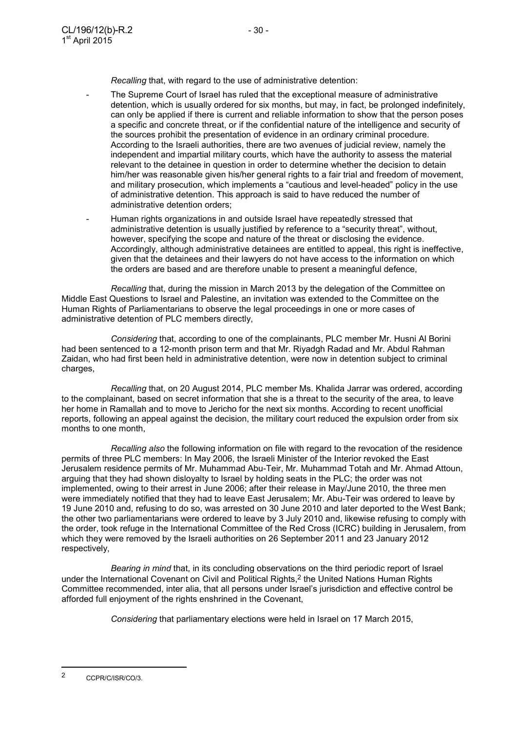*Recalling* that, with regard to the use of administrative detention:

- The Supreme Court of Israel has ruled that the exceptional measure of administrative detention, which is usually ordered for six months, but may, in fact, be prolonged indefinitely, can only be applied if there is current and reliable information to show that the person poses a specific and concrete threat, or if the confidential nature of the intelligence and security of the sources prohibit the presentation of evidence in an ordinary criminal procedure. According to the Israeli authorities, there are two avenues of judicial review, namely the independent and impartial military courts, which have the authority to assess the material relevant to the detainee in question in order to determine whether the decision to detain him/her was reasonable given his/her general rights to a fair trial and freedom of movement, and military prosecution, which implements a "cautious and level-headed" policy in the use of administrative detention. This approach is said to have reduced the number of administrative detention orders;
- Human rights organizations in and outside Israel have repeatedly stressed that administrative detention is usually justified by reference to a "security threat", without, however, specifying the scope and nature of the threat or disclosing the evidence. Accordingly, although administrative detainees are entitled to appeal, this right is ineffective, given that the detainees and their lawyers do not have access to the information on which the orders are based and are therefore unable to present a meaningful defence,

 *Recalling* that, during the mission in March 2013 by the delegation of the Committee on Middle East Questions to Israel and Palestine, an invitation was extended to the Committee on the Human Rights of Parliamentarians to observe the legal proceedings in one or more cases of administrative detention of PLC members directly,

*Considering* that, according to one of the complainants, PLC member Mr. Husni Al Borini had been sentenced to a 12-month prison term and that Mr. Riyadgh Radad and Mr. Abdul Rahman Zaidan, who had first been held in administrative detention, were now in detention subject to criminal charges,

*Recalling* that, on 20 August 2014, PLC member Ms. Khalida Jarrar was ordered, according to the complainant, based on secret information that she is a threat to the security of the area, to leave her home in Ramallah and to move to Jericho for the next six months. According to recent unofficial reports, following an appeal against the decision, the military court reduced the expulsion order from six months to one month,

*Recalling also* the following information on file with regard to the revocation of the residence permits of three PLC members: In May 2006, the Israeli Minister of the Interior revoked the East Jerusalem residence permits of Mr. Muhammad Abu-Teir, Mr. Muhammad Totah and Mr. Ahmad Attoun, arguing that they had shown disloyalty to Israel by holding seats in the PLC; the order was not implemented, owing to their arrest in June 2006; after their release in May/June 2010, the three men were immediately notified that they had to leave East Jerusalem; Mr. Abu-Teir was ordered to leave by 19 June 2010 and, refusing to do so, was arrested on 30 June 2010 and later deported to the West Bank; the other two parliamentarians were ordered to leave by 3 July 2010 and, likewise refusing to comply with the order, took refuge in the International Committee of the Red Cross (ICRC) building in Jerusalem, from which they were removed by the Israeli authorities on 26 September 2011 and 23 January 2012 respectively,

*Bearing in mind* that, in its concluding observations on the third periodic report of Israel under the International Covenant on Civil and Political Rights.<sup>2</sup> the United Nations Human Rights Committee recommended, inter alia, that all persons under Israel's jurisdiction and effective control be afforded full enjoyment of the rights enshrined in the Covenant,

*Considering* that parliamentary elections were held in Israel on 17 March 2015,

 $\overline{a}$ 

<sup>2</sup> CCPR/C/ISR/CO/3.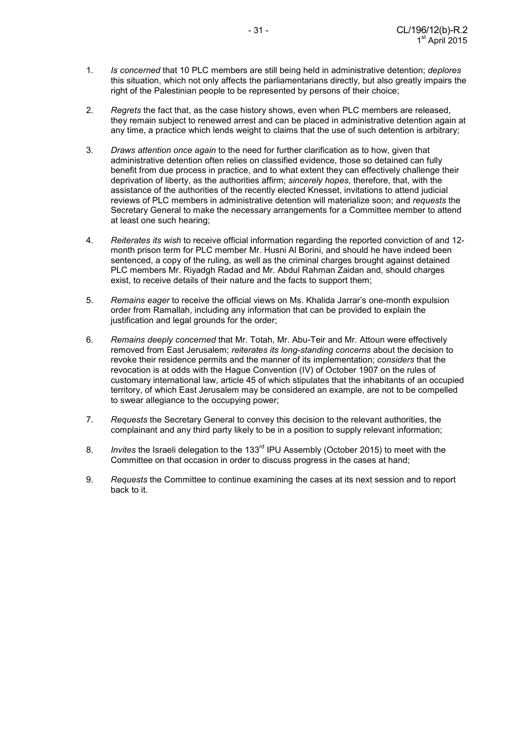- 1. *Is concerned* that 10 PLC members are still being held in administrative detention; *deplores*  this situation, which not only affects the parliamentarians directly, but also greatly impairs the right of the Palestinian people to be represented by persons of their choice;
- 2. *Regrets* the fact that, as the case history shows, even when PLC members are released, they remain subject to renewed arrest and can be placed in administrative detention again at any time, a practice which lends weight to claims that the use of such detention is arbitrary;
- 3. *Draws attention once again* to the need for further clarification as to how, given that administrative detention often relies on classified evidence, those so detained can fully benefit from due process in practice, and to what extent they can effectively challenge their deprivation of liberty, as the authorities affirm; *sincerely hopes*, therefore, that, with the assistance of the authorities of the recently elected Knesset, invitations to attend judicial reviews of PLC members in administrative detention will materialize soon; and *requests* the Secretary General to make the necessary arrangements for a Committee member to attend at least one such hearing;
- 4. *Reiterates its wish* to receive official information regarding the reported conviction of and 12 month prison term for PLC member Mr. Husni Al Borini, and should he have indeed been sentenced, a copy of the ruling, as well as the criminal charges brought against detained PLC members Mr. Riyadgh Radad and Mr. Abdul Rahman Zaidan and, should charges exist, to receive details of their nature and the facts to support them;
- 5. *Remains eager* to receive the official views on Ms. Khalida Jarrar's one-month expulsion order from Ramallah, including any information that can be provided to explain the justification and legal grounds for the order;
- 6. *Remains deeply concerned* that Mr. Totah, Mr. Abu-Teir and Mr. Attoun were effectively removed from East Jerusalem; *reiterates its long-standing concerns* about the decision to revoke their residence permits and the manner of its implementation; *considers* that the revocation is at odds with the Hague Convention (IV) of October 1907 on the rules of customary international law, article 45 of which stipulates that the inhabitants of an occupied territory, of which East Jerusalem may be considered an example, are not to be compelled to swear allegiance to the occupying power;
- 7. *Requests* the Secretary General to convey this decision to the relevant authorities, the complainant and any third party likely to be in a position to supply relevant information;
- 8. *Invites* the Israeli delegation to the 133rd IPU Assembly (October 2015) to meet with the Committee on that occasion in order to discuss progress in the cases at hand;
- 9. *Requests* the Committee to continue examining the cases at its next session and to report back to it.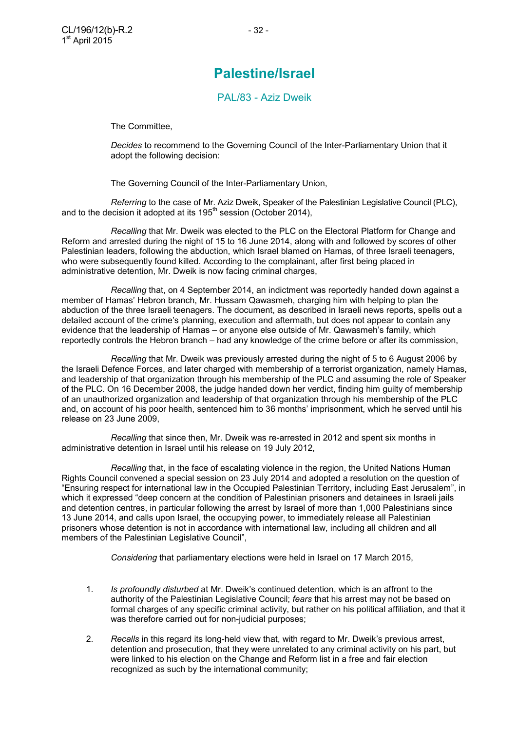PAL/83 - Aziz Dweik

The Committee,

 *Decides* to recommend to the Governing Council of the Inter-Parliamentary Union that it adopt the following decision:

The Governing Council of the Inter-Parliamentary Union,

*Referring* to the case of Mr. Aziz Dweik, Speaker of the Palestinian Legislative Council (PLC), and to the decision it adopted at its  $195<sup>th</sup>$  session (October 2014),

*Recalling* that Mr. Dweik was elected to the PLC on the Electoral Platform for Change and Reform and arrested during the night of 15 to 16 June 2014, along with and followed by scores of other Palestinian leaders, following the abduction, which Israel blamed on Hamas, of three Israeli teenagers, who were subsequently found killed. According to the complainant, after first being placed in administrative detention, Mr. Dweik is now facing criminal charges,

*Recalling* that, on 4 September 2014, an indictment was reportedly handed down against a member of Hamas' Hebron branch, Mr. Hussam Qawasmeh, charging him with helping to plan the abduction of the three Israeli teenagers. The document, as described in Israeli news reports, spells out a detailed account of the crime's planning, execution and aftermath, but does not appear to contain any evidence that the leadership of Hamas – or anyone else outside of Mr. Qawasmeh's family, which reportedly controls the Hebron branch – had any knowledge of the crime before or after its commission,

*Recalling* that Mr. Dweik was previously arrested during the night of 5 to 6 August 2006 by the Israeli Defence Forces, and later charged with membership of a terrorist organization, namely Hamas, and leadership of that organization through his membership of the PLC and assuming the role of Speaker of the PLC. On 16 December 2008, the judge handed down her verdict, finding him guilty of membership of an unauthorized organization and leadership of that organization through his membership of the PLC and, on account of his poor health, sentenced him to 36 months' imprisonment, which he served until his release on 23 June 2009,

*Recalling* that since then, Mr. Dweik was re-arrested in 2012 and spent six months in administrative detention in Israel until his release on 19 July 2012,

*Recalling* that, in the face of escalating violence in the region, the United Nations Human Rights Council convened a special session on 23 July 2014 and adopted a resolution on the question of "Ensuring respect for international law in the Occupied Palestinian Territory, including East Jerusalem", in which it expressed "deep concern at the condition of Palestinian prisoners and detainees in Israeli jails and detention centres, in particular following the arrest by Israel of more than 1,000 Palestinians since 13 June 2014, and calls upon Israel, the occupying power, to immediately release all Palestinian prisoners whose detention is not in accordance with international law, including all children and all members of the Palestinian Legislative Council",

*Considering* that parliamentary elections were held in Israel on 17 March 2015,

- 1. *Is profoundly disturbed* at Mr. Dweik's continued detention, which is an affront to the authority of the Palestinian Legislative Council; *fears* that his arrest may not be based on formal charges of any specific criminal activity, but rather on his political affiliation, and that it was therefore carried out for non-judicial purposes;
- 2. *Recalls* in this regard its long-held view that, with regard to Mr. Dweik's previous arrest, detention and prosecution, that they were unrelated to any criminal activity on his part, but were linked to his election on the Change and Reform list in a free and fair election recognized as such by the international community;